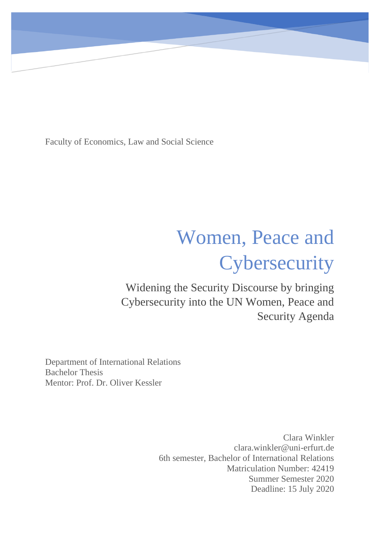Faculty of Economics, Law and Social Science

# Women, Peace and **Cybersecurity**

Widening the Security Discourse by bringing Cybersecurity into the UN Women, Peace and Security Agenda

Department of International Relations Bachelor Thesis Mentor: Prof. Dr. Oliver Kessler

> Clara Winkler clara.winkler@uni-erfurt.de 6th semester, Bachelor of International Relations Matriculation Number: 42419 Summer Semester 2020 Deadline: 15 July 2020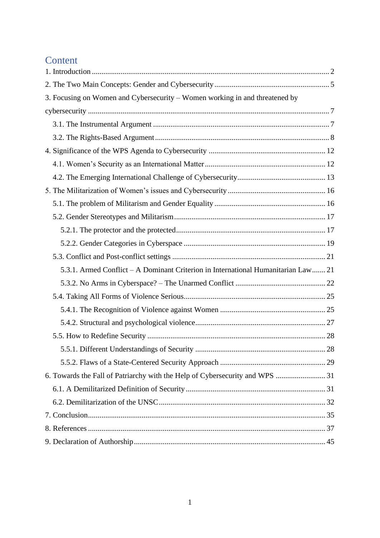# Content

| 3. Focusing on Women and Cybersecurity – Women working in and threatened by       |  |
|-----------------------------------------------------------------------------------|--|
|                                                                                   |  |
|                                                                                   |  |
|                                                                                   |  |
|                                                                                   |  |
|                                                                                   |  |
|                                                                                   |  |
|                                                                                   |  |
|                                                                                   |  |
|                                                                                   |  |
|                                                                                   |  |
|                                                                                   |  |
|                                                                                   |  |
| 5.3.1. Armed Conflict – A Dominant Criterion in International Humanitarian Law 21 |  |
|                                                                                   |  |
|                                                                                   |  |
|                                                                                   |  |
|                                                                                   |  |
|                                                                                   |  |
|                                                                                   |  |
|                                                                                   |  |
|                                                                                   |  |
|                                                                                   |  |
|                                                                                   |  |
|                                                                                   |  |
|                                                                                   |  |
|                                                                                   |  |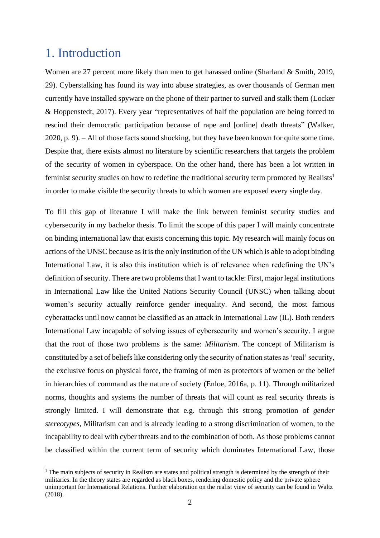# <span id="page-2-0"></span>1. Introduction

Women are 27 percent more likely than men to get harassed online (Sharland & Smith, 2019, 29). Cyberstalking has found its way into abuse strategies, as over thousands of German men currently have installed spyware on the phone of their partner to surveil and stalk them (Locker & Hoppenstedt, 2017). Every year "representatives of half the population are being forced to rescind their democratic participation because of rape and [online] death threats" (Walker, 2020, p. 9). – All of those facts sound shocking, but they have been known for quite some time. Despite that, there exists almost no literature by scientific researchers that targets the problem of the security of women in cyberspace. On the other hand, there has been a lot written in feminist security studies on how to redefine the traditional security term promoted by Realists<sup>1</sup> in order to make visible the security threats to which women are exposed every single day.

To fill this gap of literature I will make the link between feminist security studies and cybersecurity in my bachelor thesis. To limit the scope of this paper I will mainly concentrate on binding international law that exists concerning this topic. My research will mainly focus on actions of the UNSC because as it is the only institution of the UN which is able to adopt binding International Law, it is also this institution which is of relevance when redefining the UN's definition of security. There are two problems that I want to tackle: First, major legal institutions in International Law like the United Nations Security Council (UNSC) when talking about women's security actually reinforce gender inequality. And second, the most famous cyberattacks until now cannot be classified as an attack in International Law (IL). Both renders International Law incapable of solving issues of cybersecurity and women's security. I argue that the root of those two problems is the same: *Militarism*. The concept of Militarism is constituted by a set of beliefs like considering only the security of nation states as 'real' security, the exclusive focus on physical force, the framing of men as protectors of women or the belief in hierarchies of command as the nature of society (Enloe, 2016a, p. 11). Through militarized norms, thoughts and systems the number of threats that will count as real security threats is strongly limited. I will demonstrate that e.g. through this strong promotion of *gender stereotypes*, Militarism can and is already leading to a strong discrimination of women, to the incapability to deal with cyber threats and to the combination of both. As those problems cannot be classified within the current term of security which dominates International Law, those

 $1$  The main subjects of security in Realism are states and political strength is determined by the strength of their militaries. In the theory states are regarded as black boxes, rendering domestic policy and the private sphere unimportant for International Relations. Further elaboration on the realist view of security can be found in Waltz (2018).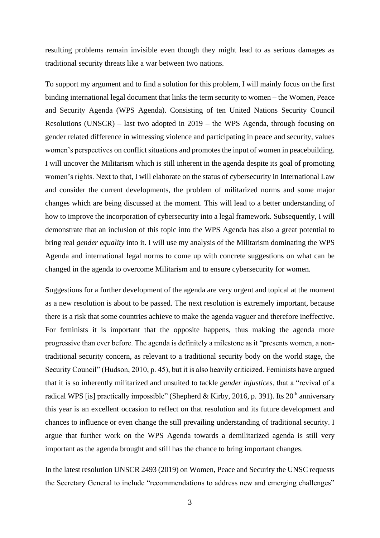resulting problems remain invisible even though they might lead to as serious damages as traditional security threats like a war between two nations.

To support my argument and to find a solution for this problem, I will mainly focus on the first binding international legal document that links the term security to women – the Women, Peace and Security Agenda (WPS Agenda). Consisting of ten United Nations Security Council Resolutions (UNSCR) – last two adopted in 2019 – the WPS Agenda, through focusing on gender related difference in witnessing violence and participating in peace and security, values women's perspectives on conflict situations and promotes the input of women in peacebuilding. I will uncover the Militarism which is still inherent in the agenda despite its goal of promoting women's rights. Next to that, I will elaborate on the status of cybersecurity in International Law and consider the current developments, the problem of militarized norms and some major changes which are being discussed at the moment. This will lead to a better understanding of how to improve the incorporation of cybersecurity into a legal framework. Subsequently, I will demonstrate that an inclusion of this topic into the WPS Agenda has also a great potential to bring real *gender equality* into it. I will use my analysis of the Militarism dominating the WPS Agenda and international legal norms to come up with concrete suggestions on what can be changed in the agenda to overcome Militarism and to ensure cybersecurity for women.

Suggestions for a further development of the agenda are very urgent and topical at the moment as a new resolution is about to be passed. The next resolution is extremely important, because there is a risk that some countries achieve to make the agenda vaguer and therefore ineffective. For feminists it is important that the opposite happens, thus making the agenda more progressive than ever before. The agenda is definitely a milestone as it "presents women, a nontraditional security concern, as relevant to a traditional security body on the world stage, the Security Council" (Hudson, 2010, p. 45), but it is also heavily criticized. Feminists have argued that it is so inherently militarized and unsuited to tackle *gender injustices*, that a "revival of a radical WPS [is] practically impossible" (Shepherd & Kirby, 2016, p. 391). Its  $20<sup>th</sup>$  anniversary this year is an excellent occasion to reflect on that resolution and its future development and chances to influence or even change the still prevailing understanding of traditional security. I argue that further work on the WPS Agenda towards a demilitarized agenda is still very important as the agenda brought and still has the chance to bring important changes.

In the latest resolution UNSCR 2493 (2019) on Women, Peace and Security the UNSC requests the Secretary General to include "recommendations to address new and emerging challenges"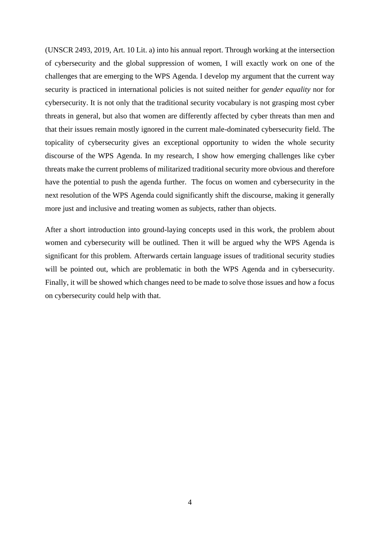(UNSCR 2493, 2019, Art. 10 Lit. a) into his annual report. Through working at the intersection of cybersecurity and the global suppression of women, I will exactly work on one of the challenges that are emerging to the WPS Agenda. I develop my argument that the current way security is practiced in international policies is not suited neither for *gender equality* nor for cybersecurity. It is not only that the traditional security vocabulary is not grasping most cyber threats in general, but also that women are differently affected by cyber threats than men and that their issues remain mostly ignored in the current male-dominated cybersecurity field. The topicality of cybersecurity gives an exceptional opportunity to widen the whole security discourse of the WPS Agenda. In my research, I show how emerging challenges like cyber threats make the current problems of militarized traditional security more obvious and therefore have the potential to push the agenda further. The focus on women and cybersecurity in the next resolution of the WPS Agenda could significantly shift the discourse, making it generally more just and inclusive and treating women as subjects, rather than objects.

After a short introduction into ground-laying concepts used in this work, the problem about women and cybersecurity will be outlined. Then it will be argued why the WPS Agenda is significant for this problem. Afterwards certain language issues of traditional security studies will be pointed out, which are problematic in both the WPS Agenda and in cybersecurity. Finally, it will be showed which changes need to be made to solve those issues and how a focus on cybersecurity could help with that.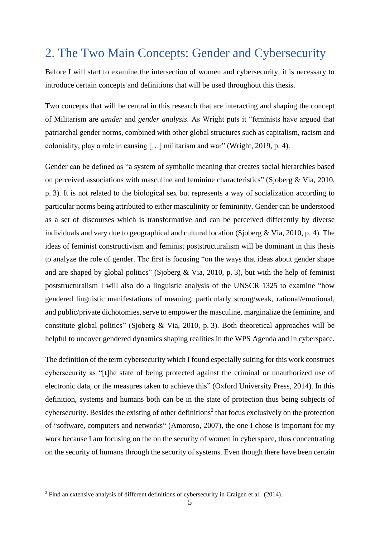# <span id="page-5-0"></span>2. The Two Main Concepts: Gender and Cybersecurity

Before I will start to examine the intersection of women and cybersecurity, it is necessary to introduce certain concepts and definitions that will be used throughout this thesis.

Two concepts that will be central in this research that are interacting and shaping the concept of Militarism are *gender* and *gender analysis*. As Wright puts it "feminists have argued that patriarchal gender norms, combined with other global structures such as capitalism, racism and coloniality, play a role in causing […] militarism and war" (Wright, 2019, p. 4).

Gender can be defined as "a system of symbolic meaning that creates social hierarchies based on perceived associations with masculine and feminine characteristics" (Sjoberg & Via, 2010, p. 3). It is not related to the biological sex but represents a way of socialization according to particular norms being attributed to either masculinity or femininity. Gender can be understood as a set of discourses which is transformative and can be perceived differently by diverse individuals and vary due to geographical and cultural location (Sjoberg & Via, 2010, p. 4). The ideas of feminist constructivism and feminist poststructuralism will be dominant in this thesis to analyze the role of gender. The first is focusing "on the ways that ideas about gender shape and are shaped by global politics" (Sjoberg & Via, 2010, p. 3), but with the help of feminist poststructuralism I will also do a linguistic analysis of the UNSCR 1325 to examine "how gendered linguistic manifestations of meaning, particularly strong/weak, rational/emotional, and public/private dichotomies, serve to empower the masculine, marginalize the feminine, and constitute global politics" (Sjoberg & Via, 2010, p. 3). Both theoretical approaches will be helpful to uncover gendered dynamics shaping realities in the WPS Agenda and in cyberspace.

The definition of the term cybersecurity which I found especially suiting for this work construes cybersecurity as "[t]he state of being protected against the criminal or unauthorized use of electronic data, or the measures taken to achieve this" (Oxford University Press, 2014). In this definition, systems and humans both can be in the state of protection thus being subjects of cybersecurity. Besides the existing of other definitions<sup>2</sup> that focus exclusively on the protection of "software, computers and networks" (Amoroso, 2007), the one I chose is important for my work because I am focusing on the on the security of women in cyberspace, thus concentrating on the security of humans through the security of systems. Even though there have been certain

<sup>&</sup>lt;sup>2</sup> Find an extensive analysis of different definitions of cybersecurity in Craigen et al. (2014).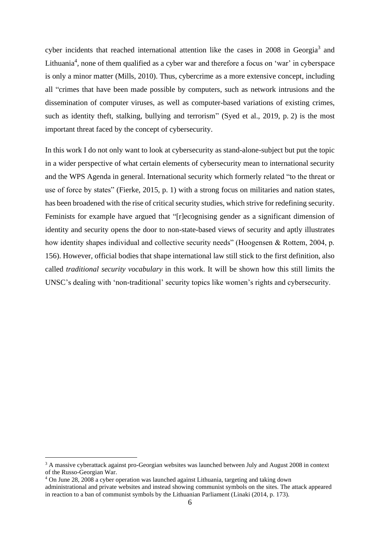cyber incidents that reached international attention like the cases in 2008 in Georgia<sup>3</sup> and Lithuania<sup>4</sup>, none of them qualified as a cyber war and therefore a focus on 'war' in cyberspace is only a minor matter (Mills, 2010). Thus, cybercrime as a more extensive concept, including all "crimes that have been made possible by computers, such as network intrusions and the dissemination of computer viruses, as well as computer-based variations of existing crimes, such as identity theft, stalking, bullying and terrorism" (Syed et al., 2019, p. 2) is the most important threat faced by the concept of cybersecurity.

In this work I do not only want to look at cybersecurity as stand-alone-subject but put the topic in a wider perspective of what certain elements of cybersecurity mean to international security and the WPS Agenda in general. International security which formerly related "to the threat or use of force by states" (Fierke, 2015, p. 1) with a strong focus on militaries and nation states, has been broadened with the rise of critical security studies, which strive for redefining security. Feminists for example have argued that "[r]ecognising gender as a significant dimension of identity and security opens the door to non-state-based views of security and aptly illustrates how identity shapes individual and collective security needs" (Hoogensen & Rottem, 2004, p. 156). However, official bodies that shape international law still stick to the first definition, also called *traditional security vocabulary* in this work. It will be shown how this still limits the UNSC's dealing with 'non-traditional' security topics like women's rights and cybersecurity.

<sup>&</sup>lt;sup>3</sup> A massive cyberattack against pro-Georgian websites was launched between July and August 2008 in context of the Russo-Georgian War.

<sup>4</sup> On June 28, 2008 a cyber operation was launched against Lithuania, targeting and taking down administrational and private websites and instead showing communist symbols on the sites. The attack appeared in reaction to a ban of communist symbols by the Lithuanian Parliament (Linaki (2014, p. 173).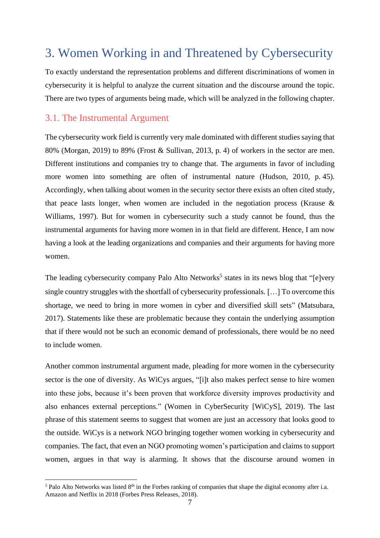# <span id="page-7-0"></span>3. Women Working in and Threatened by Cybersecurity

To exactly understand the representation problems and different discriminations of women in cybersecurity it is helpful to analyze the current situation and the discourse around the topic. There are two types of arguments being made, which will be analyzed in the following chapter.

### <span id="page-7-1"></span>3.1. The Instrumental Argument

The cybersecurity work field is currently very male dominated with different studies saying that 80% (Morgan, 2019) to 89% (Frost & Sullivan, 2013, p. 4) of workers in the sector are men. Different institutions and companies try to change that. The arguments in favor of including more women into something are often of instrumental nature (Hudson, 2010, p. 45). Accordingly, when talking about women in the security sector there exists an often cited study, that peace lasts longer, when women are included in the negotiation process (Krause  $\&$ Williams, 1997). But for women in cybersecurity such a study cannot be found, thus the instrumental arguments for having more women in in that field are different. Hence, I am now having a look at the leading organizations and companies and their arguments for having more women.

The leading cybersecurity company Palo Alto Networks<sup>5</sup> states in its news blog that "[e]very single country struggles with the shortfall of cybersecurity professionals. [...] To overcome this shortage, we need to bring in more women in cyber and diversified skill sets" (Matsubara, 2017). Statements like these are problematic because they contain the underlying assumption that if there would not be such an economic demand of professionals, there would be no need to include women.

Another common instrumental argument made, pleading for more women in the cybersecurity sector is the one of diversity. As WiCys argues, "[i]t also makes perfect sense to hire women into these jobs, because it's been proven that workforce diversity improves productivity and also enhances external perceptions." (Women in CyberSecurity [WiCyS], 2019). The last phrase of this statement seems to suggest that women are just an accessory that looks good to the outside. WiCys is a network NGO bringing together women working in cybersecurity and companies. The fact, that even an NGO promoting women's participation and claims to support women, argues in that way is alarming. It shows that the discourse around women in

 $5$  Palo Alto Networks was listed  $8<sup>th</sup>$  in the Forbes ranking of companies that shape the digital economy after i.a. Amazon and Netflix in 2018 (Forbes Press Releases, 2018).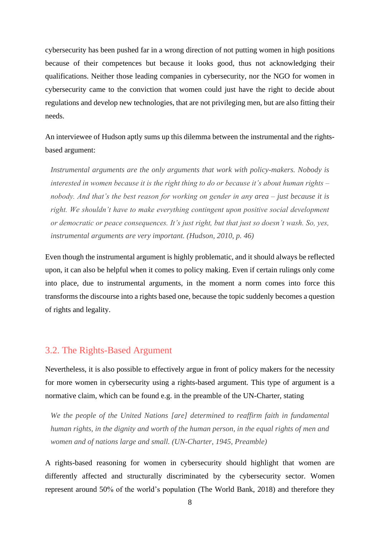cybersecurity has been pushed far in a wrong direction of not putting women in high positions because of their competences but because it looks good, thus not acknowledging their qualifications. Neither those leading companies in cybersecurity, nor the NGO for women in cybersecurity came to the conviction that women could just have the right to decide about regulations and develop new technologies, that are not privileging men, but are also fitting their needs.

An interviewee of Hudson aptly sums up this dilemma between the instrumental and the rightsbased argument:

*Instrumental arguments are the only arguments that work with policy-makers. Nobody is interested in women because it is the right thing to do or because it's about human rights – nobody. And that's the best reason for working on gender in any area – just because it is right. We shouldn't have to make everything contingent upon positive social development or democratic or peace consequences. It's just right, but that just so doesn't wash. So, yes, instrumental arguments are very important. (Hudson, 2010, p. 46)*

Even though the instrumental argument is highly problematic, and it should always be reflected upon, it can also be helpful when it comes to policy making. Even if certain rulings only come into place, due to instrumental arguments, in the moment a norm comes into force this transforms the discourse into a rights based one, because the topic suddenly becomes a question of rights and legality.

### <span id="page-8-0"></span>3.2. The Rights-Based Argument

Nevertheless, it is also possible to effectively argue in front of policy makers for the necessity for more women in cybersecurity using a rights-based argument. This type of argument is a normative claim, which can be found e.g. in the preamble of the UN-Charter, stating

*We the people of the United Nations [are] determined to reaffirm faith in fundamental human rights, in the dignity and worth of the human person, in the equal rights of men and women and of nations large and small. (UN-Charter, 1945, Preamble)*

A rights-based reasoning for women in cybersecurity should highlight that women are differently affected and structurally discriminated by the cybersecurity sector. Women represent around 50% of the world's population (The World Bank, 2018) and therefore they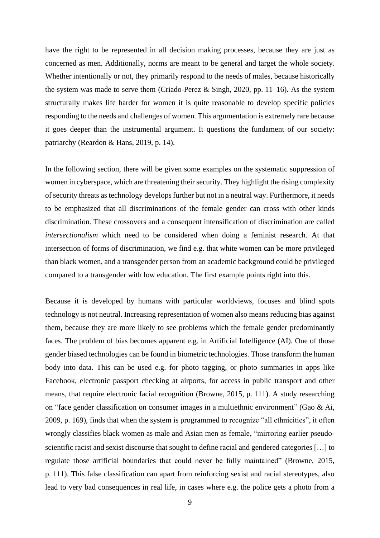have the right to be represented in all decision making processes, because they are just as concerned as men. Additionally, norms are meant to be general and target the whole society. Whether intentionally or not, they primarily respond to the needs of males, because historically the system was made to serve them (Criado-Perez & Singh, 2020, pp. 11–16). As the system structurally makes life harder for women it is quite reasonable to develop specific policies responding to the needs and challenges of women. This argumentation is extremely rare because it goes deeper than the instrumental argument. It questions the fundament of our society: patriarchy (Reardon & Hans, 2019, p. 14).

In the following section, there will be given some examples on the systematic suppression of women in cyberspace, which are threatening their security. They highlight the rising complexity of security threats as technology develops further but not in a neutral way. Furthermore, it needs to be emphasized that all discriminations of the female gender can cross with other kinds discrimination. These crossovers and a consequent intensification of discrimination are called *intersectionalism* which need to be considered when doing a feminist research. At that intersection of forms of discrimination, we find e.g. that white women can be more privileged than black women, and a transgender person from an academic background could be privileged compared to a transgender with low education. The first example points right into this.

Because it is developed by humans with particular worldviews, focuses and blind spots technology is not neutral. Increasing representation of women also means reducing bias against them, because they are more likely to see problems which the female gender predominantly faces. The problem of bias becomes apparent e.g. in Artificial Intelligence (AI). One of those gender biased technologies can be found in biometric technologies. Those transform the human body into data. This can be used e.g. for photo tagging, or photo summaries in apps like Facebook, electronic passport checking at airports, for access in public transport and other means, that require electronic facial recognition (Browne, 2015, p. 111). A study researching on "face gender classification on consumer images in a multiethnic environment" (Gao & Ai, 2009, p. 169), finds that when the system is programmed to recognize "all ethnicities", it often wrongly classifies black women as male and Asian men as female, "mirroring earlier pseudoscientific racist and sexist discourse that sought to define racial and gendered categories [...] to regulate those artificial boundaries that could never be fully maintained" (Browne, 2015, p. 111). This false classification can apart from reinforcing sexist and racial stereotypes, also lead to very bad consequences in real life, in cases where e.g. the police gets a photo from a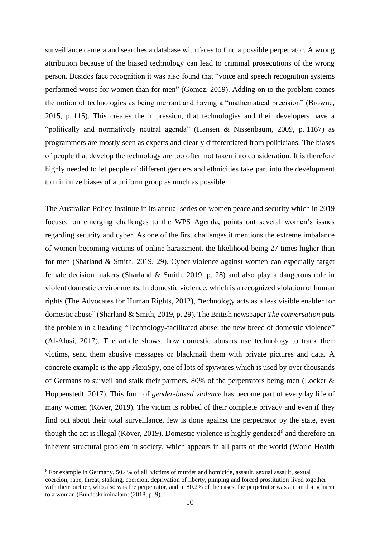surveillance camera and searches a database with faces to find a possible perpetrator. A wrong attribution because of the biased technology can lead to criminal prosecutions of the wrong person. Besides face recognition it was also found that "voice and speech recognition systems performed worse for women than for men" (Gomez, 2019). Adding on to the problem comes the notion of technologies as being inerrant and having a "mathematical precision" (Browne, 2015, p. 115). This creates the impression, that technologies and their developers have a "politically and normatively neutral agenda" (Hansen & Nissenbaum, 2009, p. 1167) as programmers are mostly seen as experts and clearly differentiated from politicians. The biases of people that develop the technology are too often not taken into consideration. It is therefore highly needed to let people of different genders and ethnicities take part into the development to minimize biases of a uniform group as much as possible.

The Australian Policy Institute in its annual series on women peace and security which in 2019 focused on emerging challenges to the WPS Agenda, points out several women's issues regarding security and cyber. As one of the first challenges it mentions the extreme imbalance of women becoming victims of online harassment, the likelihood being 27 times higher than for men (Sharland & Smith, 2019, 29). Cyber violence against women can especially target female decision makers (Sharland & Smith, 2019, p. 28) and also play a dangerous role in violent domestic environments. In domestic violence, which is a recognized violation of human rights (The Advocates for Human Rights, 2012), "technology acts as a less visible enabler for domestic abuse" (Sharland & Smith, 2019, p. 29). The British newspaper *The conversation* puts the problem in a heading "Technology-facilitated abuse: the new breed of domestic violence" (Al-Alosi, 2017). The article shows, how domestic abusers use technology to track their victims, send them abusive messages or blackmail them with private pictures and data. A concrete example is the app FlexiSpy, one of lots of spywares which is used by over thousands of Germans to surveil and stalk their partners, 80% of the perpetrators being men (Locker & Hoppenstedt, 2017). This form of *gender-based violence* has become part of everyday life of many women (Köver, 2019). The victim is robbed of their complete privacy and even if they find out about their total surveillance, few is done against the perpetrator by the state, even though the act is illegal (Köver, 2019). Domestic violence is highly gendered<sup>6</sup> and therefore an inherent structural problem in society, which appears in all parts of the world (World Health

<sup>6</sup> For example in Germany, 50.4% of all victims of murder and homicide, assault, sexual assault, sexual coercion, rape, threat, stalking, coercion, deprivation of liberty, pimping and forced prostitution lived together with their partner, who also was the perpetrator, and in 80.2% of the cases, the perpetrator was a man doing harm to a woman (Bundeskriminalamt (2018, p. 9).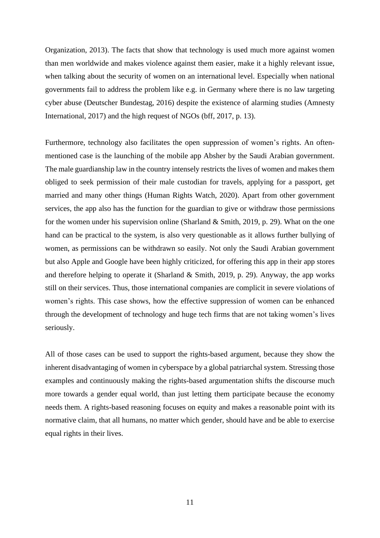Organization, 2013). The facts that show that technology is used much more against women than men worldwide and makes violence against them easier, make it a highly relevant issue, when talking about the security of women on an international level. Especially when national governments fail to address the problem like e.g. in Germany where there is no law targeting cyber abuse (Deutscher Bundestag, 2016) despite the existence of alarming studies (Amnesty International, 2017) and the high request of NGOs (bff, 2017, p. 13).

Furthermore, technology also facilitates the open suppression of women's rights. An oftenmentioned case is the launching of the mobile app Absher by the Saudi Arabian government. The male guardianship law in the country intensely restricts the lives of women and makes them obliged to seek permission of their male custodian for travels, applying for a passport, get married and many other things (Human Rights Watch, 2020). Apart from other government services, the app also has the function for the guardian to give or withdraw those permissions for the women under his supervision online (Sharland  $&$  Smith, 2019, p. 29). What on the one hand can be practical to the system, is also very questionable as it allows further bullying of women, as permissions can be withdrawn so easily. Not only the Saudi Arabian government but also Apple and Google have been highly criticized, for offering this app in their app stores and therefore helping to operate it (Sharland  $\&$  Smith, 2019, p. 29). Anyway, the app works still on their services. Thus, those international companies are complicit in severe violations of women's rights. This case shows, how the effective suppression of women can be enhanced through the development of technology and huge tech firms that are not taking women's lives seriously.

All of those cases can be used to support the rights-based argument, because they show the inherent disadvantaging of women in cyberspace by a global patriarchal system. Stressing those examples and continuously making the rights-based argumentation shifts the discourse much more towards a gender equal world, than just letting them participate because the economy needs them. A rights-based reasoning focuses on equity and makes a reasonable point with its normative claim, that all humans, no matter which gender, should have and be able to exercise equal rights in their lives.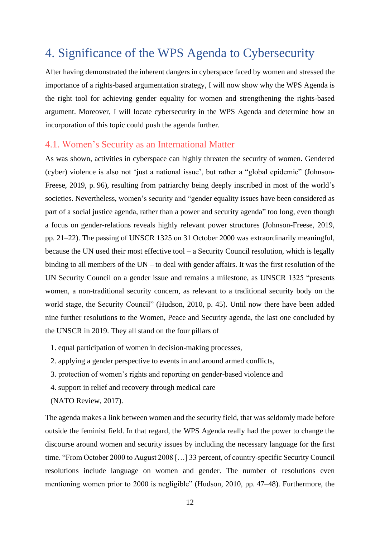# <span id="page-12-0"></span>4. Significance of the WPS Agenda to Cybersecurity

After having demonstrated the inherent dangers in cyberspace faced by women and stressed the importance of a rights-based argumentation strategy, I will now show why the WPS Agenda is the right tool for achieving gender equality for women and strengthening the rights-based argument. Moreover, I will locate cybersecurity in the WPS Agenda and determine how an incorporation of this topic could push the agenda further.

### <span id="page-12-1"></span>4.1. Women's Security as an International Matter

As was shown, activities in cyberspace can highly threaten the security of women. Gendered (cyber) violence is also not 'just a national issue', but rather a "global epidemic" (Johnson-Freese, 2019, p. 96), resulting from patriarchy being deeply inscribed in most of the world's societies. Nevertheless, women's security and "gender equality issues have been considered as part of a social justice agenda, rather than a power and security agenda" too long, even though a focus on gender-relations reveals highly relevant power structures (Johnson-Freese, 2019, pp. 21–22). The passing of UNSCR 1325 on 31 October 2000 was extraordinarily meaningful, because the UN used their most effective tool – a Security Council resolution, which is legally binding to all members of the UN – to deal with gender affairs. It was the first resolution of the UN Security Council on a gender issue and remains a milestone, as UNSCR 1325 "presents women, a non-traditional security concern, as relevant to a traditional security body on the world stage, the Security Council" (Hudson, 2010, p. 45). Until now there have been added nine further resolutions to the Women, Peace and Security agenda, the last one concluded by the UNSCR in 2019. They all stand on the four pillars of

- 1. equal participation of women in decision-making processes,
- 2. applying a gender perspective to events in and around armed conflicts,
- 3. protection of women's rights and reporting on gender-based violence and
- 4. support in relief and recovery through medical care
- (NATO Review, 2017).

The agenda makes a link between women and the security field, that was seldomly made before outside the feminist field. In that regard, the WPS Agenda really had the power to change the discourse around women and security issues by including the necessary language for the first time. "From October 2000 to August 2008 […] 33 percent, of country-specific Security Council resolutions include language on women and gender. The number of resolutions even mentioning women prior to 2000 is negligible" (Hudson, 2010, pp. 47–48). Furthermore, the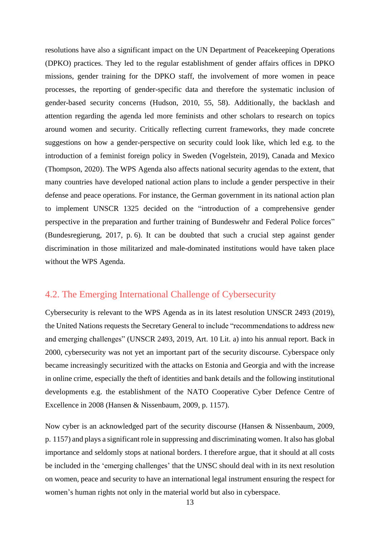resolutions have also a significant impact on the UN Department of Peacekeeping Operations (DPKO) practices. They led to the regular establishment of gender affairs offices in DPKO missions, gender training for the DPKO staff, the involvement of more women in peace processes, the reporting of gender-specific data and therefore the systematic inclusion of gender-based security concerns (Hudson, 2010, 55, 58). Additionally, the backlash and attention regarding the agenda led more feminists and other scholars to research on topics around women and security. Critically reflecting current frameworks, they made concrete suggestions on how a gender-perspective on security could look like, which led e.g. to the introduction of a feminist foreign policy in Sweden (Vogelstein, 2019), Canada and Mexico (Thompson, 2020). The WPS Agenda also affects national security agendas to the extent, that many countries have developed national action plans to include a gender perspective in their defense and peace operations. For instance, the German government in its national action plan to implement UNSCR 1325 decided on the "introduction of a comprehensive gender perspective in the preparation and further training of Bundeswehr and Federal Police forces" (Bundesregierung, 2017, p. 6). It can be doubted that such a crucial step against gender discrimination in those militarized and male-dominated institutions would have taken place without the WPS Agenda.

### <span id="page-13-0"></span>4.2. The Emerging International Challenge of Cybersecurity

Cybersecurity is relevant to the WPS Agenda as in its latest resolution UNSCR 2493 (2019), the United Nations requests the Secretary General to include "recommendations to address new and emerging challenges" (UNSCR 2493, 2019, Art. 10 Lit. a) into his annual report. Back in 2000, cybersecurity was not yet an important part of the security discourse. Cyberspace only became increasingly securitized with the attacks on Estonia and Georgia and with the increase in online crime, especially the theft of identities and bank details and the following institutional developments e.g. the establishment of the NATO Cooperative Cyber Defence Centre of Excellence in 2008 (Hansen & Nissenbaum, 2009, p. 1157).

Now cyber is an acknowledged part of the security discourse (Hansen & Nissenbaum, 2009, p. 1157) and plays a significant role in suppressing and discriminating women. It also has global importance and seldomly stops at national borders. I therefore argue, that it should at all costs be included in the 'emerging challenges' that the UNSC should deal with in its next resolution on women, peace and security to have an international legal instrument ensuring the respect for women's human rights not only in the material world but also in cyberspace.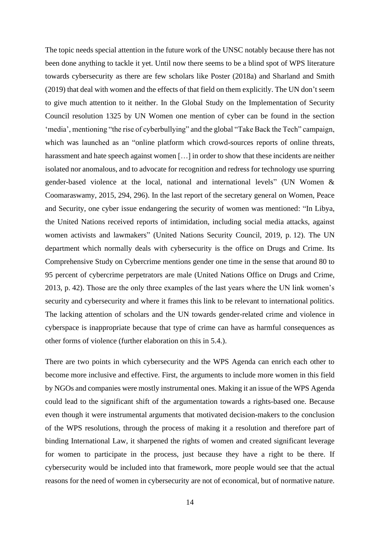The topic needs special attention in the future work of the UNSC notably because there has not been done anything to tackle it yet. Until now there seems to be a blind spot of WPS literature towards cybersecurity as there are few scholars like Poster (2018a) and Sharland and Smith (2019) that deal with women and the effects of that field on them explicitly. The UN don't seem to give much attention to it neither. In the Global Study on the Implementation of Security Council resolution 1325 by UN Women one mention of cyber can be found in the section 'media', mentioning "the rise of cyberbullying" and the global "Take Back the Tech" campaign, which was launched as an "online platform which crowd-sources reports of online threats, harassment and hate speech against women [...] in order to show that these incidents are neither isolated nor anomalous, and to advocate for recognition and redress for technology use spurring gender-based violence at the local, national and international levels" (UN Women & Coomaraswamy, 2015, 294, 296). In the last report of the secretary general on Women, Peace and Security, one cyber issue endangering the security of women was mentioned: "In Libya, the United Nations received reports of intimidation, including social media attacks, against women activists and lawmakers" (United Nations Security Council, 2019, p. 12). The UN department which normally deals with cybersecurity is the office on Drugs and Crime. Its Comprehensive Study on Cybercrime mentions gender one time in the sense that around 80 to 95 percent of cybercrime perpetrators are male (United Nations Office on Drugs and Crime, 2013, p. 42). Those are the only three examples of the last years where the UN link women's security and cybersecurity and where it frames this link to be relevant to international politics. The lacking attention of scholars and the UN towards gender-related crime and violence in cyberspace is inappropriate because that type of crime can have as harmful consequences as other forms of violence (further elaboration on this in 5.4.).

There are two points in which cybersecurity and the WPS Agenda can enrich each other to become more inclusive and effective. First, the arguments to include more women in this field by NGOs and companies were mostly instrumental ones. Making it an issue of the WPS Agenda could lead to the significant shift of the argumentation towards a rights-based one. Because even though it were instrumental arguments that motivated decision-makers to the conclusion of the WPS resolutions, through the process of making it a resolution and therefore part of binding International Law, it sharpened the rights of women and created significant leverage for women to participate in the process, just because they have a right to be there. If cybersecurity would be included into that framework, more people would see that the actual reasons for the need of women in cybersecurity are not of economical, but of normative nature.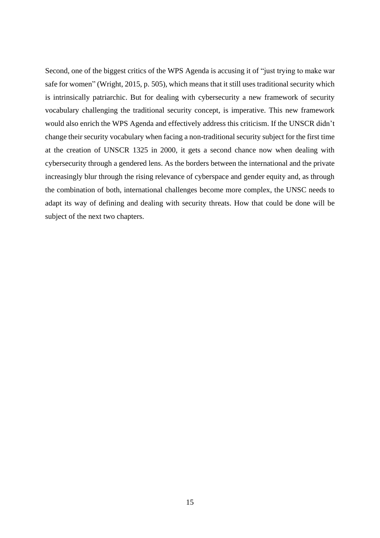Second, one of the biggest critics of the WPS Agenda is accusing it of "just trying to make war safe for women" (Wright, 2015, p. 505), which means that it still uses traditional security which is intrinsically patriarchic. But for dealing with cybersecurity a new framework of security vocabulary challenging the traditional security concept, is imperative. This new framework would also enrich the WPS Agenda and effectively address this criticism. If the UNSCR didn't change their security vocabulary when facing a non-traditional security subject for the first time at the creation of UNSCR 1325 in 2000, it gets a second chance now when dealing with cybersecurity through a gendered lens. As the borders between the international and the private increasingly blur through the rising relevance of cyberspace and gender equity and, as through the combination of both, international challenges become more complex, the UNSC needs to adapt its way of defining and dealing with security threats. How that could be done will be subject of the next two chapters.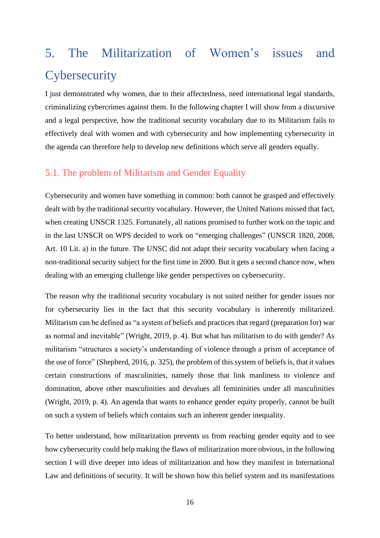# <span id="page-16-0"></span>5. The Militarization of Women's issues and **Cybersecurity**

I just demonstrated why women, due to their affectedness, need international legal standards, criminalizing cybercrimes against them. In the following chapter I will show from a discursive and a legal perspective, how the traditional security vocabulary due to its Militarism fails to effectively deal with women and with cybersecurity and how implementing cybersecurity in the agenda can therefore help to develop new definitions which serve all genders equally.

### <span id="page-16-1"></span>5.1. The problem of Militarism and Gender Equality

Cybersecurity and women have something in common: both cannot be grasped and effectively dealt with by the traditional security vocabulary. However, the United Nations missed that fact, when creating UNSCR 1325. Fortunately, all nations promised to further work on the topic and in the last UNSCR on WPS decided to work on "emerging challenges" (UNSCR 1820, 2008, Art. 10 Lit. a) in the future. The UNSC did not adapt their security vocabulary when facing a non-traditional security subject for the first time in 2000. But it gets a second chance now, when dealing with an emerging challenge like gender perspectives on cybersecurity.

The reason why the traditional security vocabulary is not suited neither for gender issues nor for cybersecurity lies in the fact that this security vocabulary is inherently militarized. Militarism can be defined as "a system of beliefs and practices that regard (preparation for) war as normal and inevitable" (Wright, 2019, p. 4). But what has militarism to do with gender? As militarism "structures a society's understanding of violence through a prism of acceptance of the use of force" (Shepherd, 2016, p. 325), the problem of this system of beliefs is, that it values certain constructions of masculinities, namely those that link manliness to violence and domination, above other masculinities and devalues all femininities under all masculinities (Wright, 2019, p. 4). An agenda that wants to enhance gender equity properly, cannot be built on such a system of beliefs which contains such an inherent gender inequality.

To better understand, how militarization prevents us from reaching gender equity and to see how cybersecurity could help making the flaws of militarization more obvious, in the following section I will dive deeper into ideas of militarization and how they manifest in International Law and definitions of security. It will be shown how this belief system and its manifestations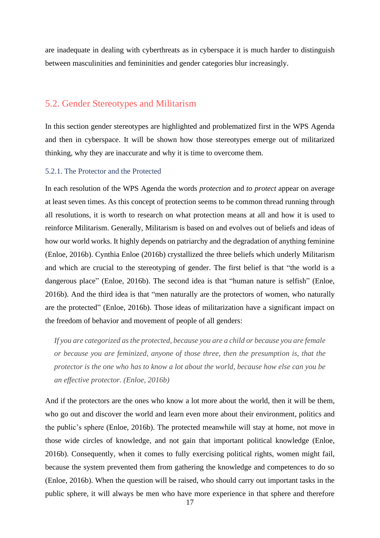are inadequate in dealing with cyberthreats as in cyberspace it is much harder to distinguish between masculinities and femininities and gender categories blur increasingly.

### <span id="page-17-0"></span>5.2. Gender Stereotypes and Militarism

In this section gender stereotypes are highlighted and problematized first in the WPS Agenda and then in cyberspace. It will be shown how those stereotypes emerge out of militarized thinking, why they are inaccurate and why it is time to overcome them.

#### <span id="page-17-1"></span>5.2.1. The Protector and the Protected

In each resolution of the WPS Agenda the words *protection* and *to protect* appear on average at least seven times. As this concept of protection seems to be common thread running through all resolutions, it is worth to research on what protection means at all and how it is used to reinforce Militarism. Generally, Militarism is based on and evolves out of beliefs and ideas of how our world works. It highly depends on patriarchy and the degradation of anything feminine (Enloe, 2016b). Cynthia Enloe (2016b) crystallized the three beliefs which underly Militarism and which are crucial to the stereotyping of gender. The first belief is that "the world is a dangerous place" (Enloe, 2016b). The second idea is that "human nature is selfish" (Enloe, 2016b). And the third idea is that "men naturally are the protectors of women, who naturally are the protected" (Enloe, 2016b). Those ideas of militarization have a significant impact on the freedom of behavior and movement of people of all genders:

*If you are categorized as the protected, because you are a child or because you are female or because you are feminized, anyone of those three, then the presumption is, that the protector is the one who has to know a lot about the world, because how else can you be an effective protector. (Enloe, 2016b)*

And if the protectors are the ones who know a lot more about the world, then it will be them, who go out and discover the world and learn even more about their environment, politics and the public's sphere (Enloe, 2016b). The protected meanwhile will stay at home, not move in those wide circles of knowledge, and not gain that important political knowledge (Enloe, 2016b). Consequently, when it comes to fully exercising political rights, women might fail, because the system prevented them from gathering the knowledge and competences to do so (Enloe, 2016b). When the question will be raised, who should carry out important tasks in the public sphere, it will always be men who have more experience in that sphere and therefore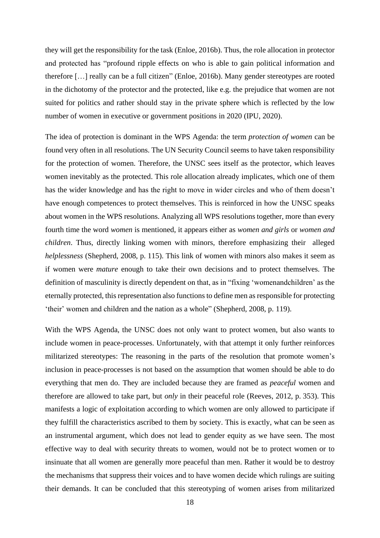they will get the responsibility for the task (Enloe, 2016b). Thus, the role allocation in protector and protected has "profound ripple effects on who is able to gain political information and therefore […] really can be a full citizen" (Enloe, 2016b). Many gender stereotypes are rooted in the dichotomy of the protector and the protected, like e.g. the prejudice that women are not suited for politics and rather should stay in the private sphere which is reflected by the low number of women in executive or government positions in 2020 (IPU, 2020).

The idea of protection is dominant in the WPS Agenda: the term *protection of women* can be found very often in all resolutions. The UN Security Council seems to have taken responsibility for the protection of women. Therefore, the UNSC sees itself as the protector, which leaves women inevitably as the protected. This role allocation already implicates, which one of them has the wider knowledge and has the right to move in wider circles and who of them doesn't have enough competences to protect themselves. This is reinforced in how the UNSC speaks about women in the WPS resolutions. Analyzing all WPS resolutions together, more than every fourth time the word *women* is mentioned, it appears either as *women and girls* or *women and children*. Thus, directly linking women with minors, therefore emphasizing their alleged *helplessness* (Shepherd, 2008, p. 115). This link of women with minors also makes it seem as if women were *mature* enough to take their own decisions and to protect themselves. The definition of masculinity is directly dependent on that, as in "fixing 'womenandchildren' as the eternally protected, this representation also functions to define men as responsible for protecting 'their' women and children and the nation as a whole" (Shepherd, 2008, p. 119).

With the WPS Agenda, the UNSC does not only want to protect women, but also wants to include women in peace-processes. Unfortunately, with that attempt it only further reinforces militarized stereotypes: The reasoning in the parts of the resolution that promote women's inclusion in peace-processes is not based on the assumption that women should be able to do everything that men do. They are included because they are framed as *peaceful* women and therefore are allowed to take part, but *only* in their peaceful role (Reeves, 2012, p. 353). This manifests a logic of exploitation according to which women are only allowed to participate if they fulfill the characteristics ascribed to them by society. This is exactly, what can be seen as an instrumental argument, which does not lead to gender equity as we have seen. The most effective way to deal with security threats to women, would not be to protect women or to insinuate that all women are generally more peaceful than men. Rather it would be to destroy the mechanisms that suppress their voices and to have women decide which rulings are suiting their demands. It can be concluded that this stereotyping of women arises from militarized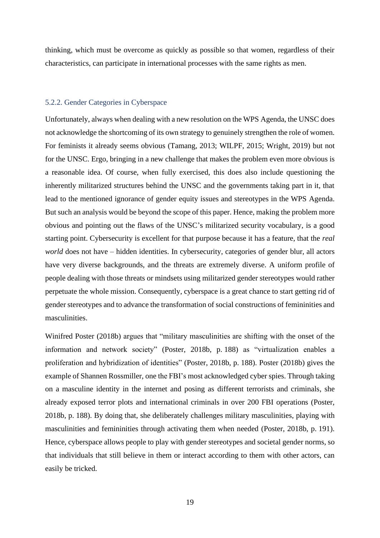thinking, which must be overcome as quickly as possible so that women, regardless of their characteristics, can participate in international processes with the same rights as men.

#### <span id="page-19-0"></span>5.2.2. Gender Categories in Cyberspace

Unfortunately, always when dealing with a new resolution on the WPS Agenda, the UNSC does not acknowledge the shortcoming of its own strategy to genuinely strengthen the role of women. For feminists it already seems obvious (Tamang, 2013; WILPF, 2015; Wright, 2019) but not for the UNSC. Ergo, bringing in a new challenge that makes the problem even more obvious is a reasonable idea. Of course, when fully exercised, this does also include questioning the inherently militarized structures behind the UNSC and the governments taking part in it, that lead to the mentioned ignorance of gender equity issues and stereotypes in the WPS Agenda. But such an analysis would be beyond the scope of this paper. Hence, making the problem more obvious and pointing out the flaws of the UNSC's militarized security vocabulary, is a good starting point. Cybersecurity is excellent for that purpose because it has a feature, that the *real world* does not have – hidden identities. In cybersecurity, categories of gender blur, all actors have very diverse backgrounds, and the threats are extremely diverse. A uniform profile of people dealing with those threats or mindsets using militarized gender stereotypes would rather perpetuate the whole mission. Consequently, cyberspace is a great chance to start getting rid of gender stereotypes and to advance the transformation of social constructions of femininities and masculinities.

Winifred Poster (2018b) argues that "military masculinities are shifting with the onset of the information and network society" (Poster, 2018b, p. 188) as "virtualization enables a proliferation and hybridization of identities" (Poster, 2018b, p. 188). Poster (2018b) gives the example of Shannen Rossmiller, one the FBI's most acknowledged cyber spies. Through taking on a masculine identity in the internet and posing as different terrorists and criminals, she already exposed terror plots and international criminals in over 200 FBI operations (Poster, 2018b, p. 188). By doing that, she deliberately challenges military masculinities, playing with masculinities and femininities through activating them when needed (Poster, 2018b, p. 191). Hence, cyberspace allows people to play with gender stereotypes and societal gender norms, so that individuals that still believe in them or interact according to them with other actors, can easily be tricked.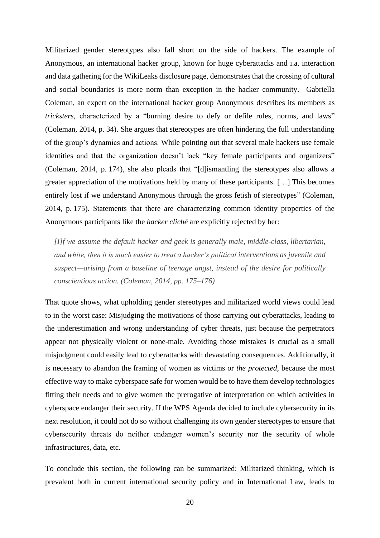Militarized gender stereotypes also fall short on the side of hackers. The example of Anonymous, an international hacker group, known for huge cyberattacks and i.a. interaction and data gathering for the WikiLeaks disclosure page, demonstrates that the crossing of cultural and social boundaries is more norm than exception in the hacker community. Gabriella Coleman, an expert on the international hacker group Anonymous describes its members as *tricksters*, characterized by a "burning desire to defy or defile rules, norms, and laws" (Coleman, 2014, p. 34). She argues that stereotypes are often hindering the full understanding of the group's dynamics and actions. While pointing out that several male hackers use female identities and that the organization doesn't lack "key female participants and organizers" (Coleman, 2014, p. 174), she also pleads that "[d]ismantling the stereotypes also allows a greater appreciation of the motivations held by many of these participants. […] This becomes entirely lost if we understand Anonymous through the gross fetish of stereotypes" (Coleman, 2014, p. 175). Statements that there are characterizing common identity properties of the Anonymous participants like the *hacker cliché* are explicitly rejected by her:

*[I]f we assume the default hacker and geek is generally male, middle-class, libertarian, and white, then it is much easier to treat a hacker's political interventions as juvenile and suspect—arising from a baseline of teenage angst, instead of the desire for politically conscientious action. (Coleman, 2014, pp. 175–176)*

That quote shows, what upholding gender stereotypes and militarized world views could lead to in the worst case: Misjudging the motivations of those carrying out cyberattacks, leading to the underestimation and wrong understanding of cyber threats, just because the perpetrators appear not physically violent or none-male. Avoiding those mistakes is crucial as a small misjudgment could easily lead to cyberattacks with devastating consequences. Additionally, it is necessary to abandon the framing of women as victims or *the protected*, because the most effective way to make cyberspace safe for women would be to have them develop technologies fitting their needs and to give women the prerogative of interpretation on which activities in cyberspace endanger their security. If the WPS Agenda decided to include cybersecurity in its next resolution, it could not do so without challenging its own gender stereotypes to ensure that cybersecurity threats do neither endanger women's security nor the security of whole infrastructures, data, etc.

To conclude this section, the following can be summarized: Militarized thinking, which is prevalent both in current international security policy and in International Law, leads to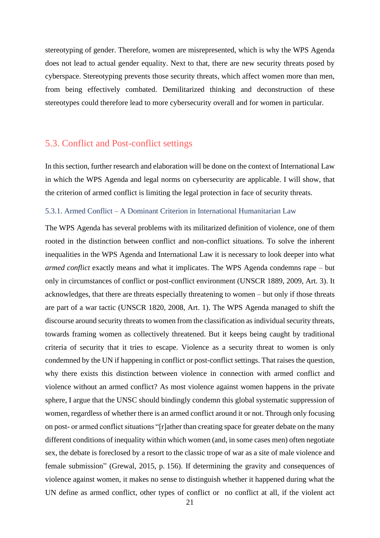stereotyping of gender. Therefore, women are misrepresented, which is why the WPS Agenda does not lead to actual gender equality. Next to that, there are new security threats posed by cyberspace. Stereotyping prevents those security threats, which affect women more than men, from being effectively combated. Demilitarized thinking and deconstruction of these stereotypes could therefore lead to more cybersecurity overall and for women in particular.

### <span id="page-21-0"></span>5.3. Conflict and Post-conflict settings

In this section, further research and elaboration will be done on the context of International Law in which the WPS Agenda and legal norms on cybersecurity are applicable. I will show, that the criterion of armed conflict is limiting the legal protection in face of security threats.

#### <span id="page-21-1"></span>5.3.1. Armed Conflict – A Dominant Criterion in International Humanitarian Law

The WPS Agenda has several problems with its militarized definition of violence, one of them rooted in the distinction between conflict and non-conflict situations. To solve the inherent inequalities in the WPS Agenda and International Law it is necessary to look deeper into what *armed conflict* exactly means and what it implicates. The WPS Agenda condemns rape – but only in circumstances of conflict or post-conflict environment (UNSCR 1889, 2009, Art. 3). It acknowledges, that there are threats especially threatening to women – but only if those threats are part of a war tactic (UNSCR 1820, 2008, Art. 1). The WPS Agenda managed to shift the discourse around security threats to women from the classification as individual security threats, towards framing women as collectively threatened. But it keeps being caught by traditional criteria of security that it tries to escape. Violence as a security threat to women is only condemned by the UN if happening in conflict or post-conflict settings. That raises the question, why there exists this distinction between violence in connection with armed conflict and violence without an armed conflict? As most violence against women happens in the private sphere, I argue that the UNSC should bindingly condemn this global systematic suppression of women, regardless of whether there is an armed conflict around it or not. Through only focusing on post- or armed conflict situations "[r]ather than creating space for greater debate on the many different conditions of inequality within which women (and, in some cases men) often negotiate sex, the debate is foreclosed by a resort to the classic trope of war as a site of male violence and female submission" (Grewal, 2015, p. 156). If determining the gravity and consequences of violence against women, it makes no sense to distinguish whether it happened during what the UN define as armed conflict, other types of conflict or no conflict at all, if the violent act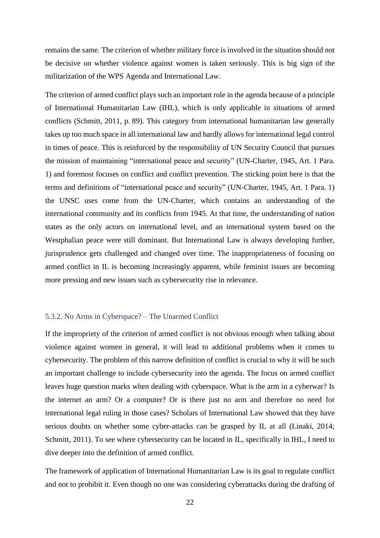remains the same. The criterion of whether military force is involved in the situation should not be decisive on whether violence against women is taken seriously. This is big sign of the militarization of the WPS Agenda and International Law.

The criterion of armed conflict plays such an important role in the agenda because of a principle of International Humanitarian Law (IHL), which is only applicable in situations of armed conflicts (Schmitt, 2011, p. 89). This category from international humanitarian law generally takes up too much space in all international law and hardly allows for international legal control in times of peace. This is reinforced by the responsibility of UN Security Council that pursues the mission of maintaining "international peace and security" (UN-Charter, 1945, Art. 1 Para. 1) and foremost focuses on conflict and conflict prevention. The sticking point here is that the terms and definitions of "international peace and security" (UN-Charter, 1945, Art. 1 Para. 1) the UNSC uses come from the UN-Charter, which contains an understanding of the international community and its conflicts from 1945. At that time, the understanding of nation states as the only actors on international level, and an international system based on the Westphalian peace were still dominant. But International Law is always developing further, jurisprudence gets challenged and changed over time. The inappropriateness of focusing on armed conflict in IL is becoming increasingly apparent, while feminist issues are becoming more pressing and new issues such as cybersecurity rise in relevance.

#### <span id="page-22-0"></span>5.3.2. No Arms in Cyberspace? – The Unarmed Conflict

If the impropriety of the criterion of armed conflict is not obvious enough when talking about violence against women in general, it will lead to additional problems when it comes to cybersecurity. The problem of this narrow definition of conflict is crucial to why it will be such an important challenge to include cybersecurity into the agenda. The focus on armed conflict leaves huge question marks when dealing with cyberspace. What is the arm in a cyberwar? Is the internet an arm? Or a computer? Or is there just no arm and therefore no need for international legal ruling in those cases? Scholars of International Law showed that they have serious doubts on whether some cyber-attacks can be grasped by IL at all (Linaki, 2014; Schmitt, 2011). To see where cybersecurity can be located in IL, specifically in IHL, I need to dive deeper into the definition of armed conflict.

The framework of application of International Humanitarian Law is its goal to regulate conflict and not to prohibit it. Even though no one was considering cyberattacks during the drafting of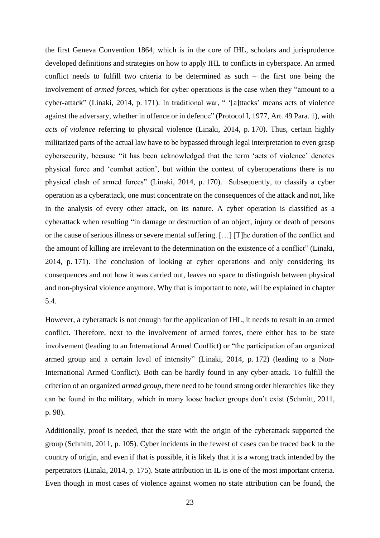the first Geneva Convention 1864, which is in the core of IHL, scholars and jurisprudence developed definitions and strategies on how to apply IHL to conflicts in cyberspace. An armed conflict needs to fulfill two criteria to be determined as such – the first one being the involvement of *armed forces*, which for cyber operations is the case when they "amount to a cyber-attack" (Linaki, 2014, p. 171). In traditional war, " '[a]ttacks' means acts of violence against the adversary, whether in offence or in defence" (Protocol I, 1977, Art. 49 Para. 1), with *acts of violence* referring to physical violence (Linaki, 2014, p. 170). Thus, certain highly militarized parts of the actual law have to be bypassed through legal interpretation to even grasp cybersecurity, because "it has been acknowledged that the term 'acts of violence' denotes physical force and 'combat action', but within the context of cyberoperations there is no physical clash of armed forces" (Linaki, 2014, p. 170). Subsequently, to classify a cyber operation as a cyberattack, one must concentrate on the consequences of the attack and not, like in the analysis of every other attack, on its nature. A cyber operation is classified as a cyberattack when resulting "in damage or destruction of an object, injury or death of persons or the cause of serious illness or severe mental suffering. […] [T]he duration of the conflict and the amount of killing are irrelevant to the determination on the existence of a conflict" (Linaki, 2014, p. 171). The conclusion of looking at cyber operations and only considering its consequences and not how it was carried out, leaves no space to distinguish between physical and non-physical violence anymore. Why that is important to note, will be explained in chapter 5.4.

However, a cyberattack is not enough for the application of IHL, it needs to result in an armed conflict. Therefore, next to the involvement of armed forces, there either has to be state involvement (leading to an International Armed Conflict) or "the participation of an organized armed group and a certain level of intensity" (Linaki, 2014, p. 172) (leading to a Non-International Armed Conflict). Both can be hardly found in any cyber-attack. To fulfill the criterion of an organized *armed group*, there need to be found strong order hierarchies like they can be found in the military, which in many loose hacker groups don't exist (Schmitt, 2011, p. 98).

Additionally, proof is needed, that the state with the origin of the cyberattack supported the group (Schmitt, 2011, p. 105). Cyber incidents in the fewest of cases can be traced back to the country of origin, and even if that is possible, it is likely that it is a wrong track intended by the perpetrators (Linaki, 2014, p. 175). State attribution in IL is one of the most important criteria. Even though in most cases of violence against women no state attribution can be found, the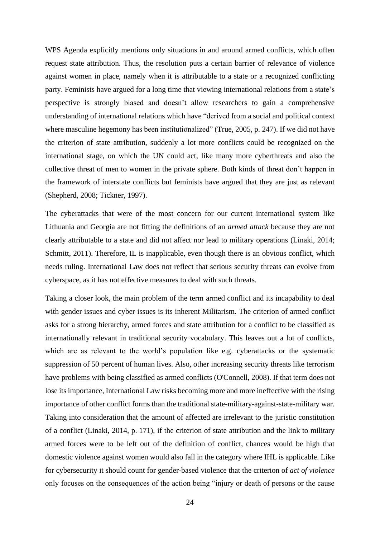WPS Agenda explicitly mentions only situations in and around armed conflicts, which often request state attribution. Thus, the resolution puts a certain barrier of relevance of violence against women in place, namely when it is attributable to a state or a recognized conflicting party. Feminists have argued for a long time that viewing international relations from a state's perspective is strongly biased and doesn't allow researchers to gain a comprehensive understanding of international relations which have "derived from a social and political context where masculine hegemony has been institutionalized" (True, 2005, p. 247). If we did not have the criterion of state attribution, suddenly a lot more conflicts could be recognized on the international stage, on which the UN could act, like many more cyberthreats and also the collective threat of men to women in the private sphere. Both kinds of threat don't happen in the framework of interstate conflicts but feminists have argued that they are just as relevant (Shepherd, 2008; Tickner, 1997).

The cyberattacks that were of the most concern for our current international system like Lithuania and Georgia are not fitting the definitions of an *armed attack* because they are not clearly attributable to a state and did not affect nor lead to military operations (Linaki, 2014; Schmitt, 2011). Therefore, IL is inapplicable, even though there is an obvious conflict, which needs ruling. International Law does not reflect that serious security threats can evolve from cyberspace, as it has not effective measures to deal with such threats.

Taking a closer look, the main problem of the term armed conflict and its incapability to deal with gender issues and cyber issues is its inherent Militarism. The criterion of armed conflict asks for a strong hierarchy, armed forces and state attribution for a conflict to be classified as internationally relevant in traditional security vocabulary. This leaves out a lot of conflicts, which are as relevant to the world's population like e.g. cyberattacks or the systematic suppression of 50 percent of human lives. Also, other increasing security threats like terrorism have problems with being classified as armed conflicts (O'Connell, 2008). If that term does not lose its importance, International Law risks becoming more and more ineffective with the rising importance of other conflict forms than the traditional state-military-against-state-military war. Taking into consideration that the amount of affected are irrelevant to the juristic constitution of a conflict (Linaki, 2014, p. 171), if the criterion of state attribution and the link to military armed forces were to be left out of the definition of conflict, chances would be high that domestic violence against women would also fall in the category where IHL is applicable. Like for cybersecurity it should count for gender-based violence that the criterion of *act of violence* only focuses on the consequences of the action being "injury or death of persons or the cause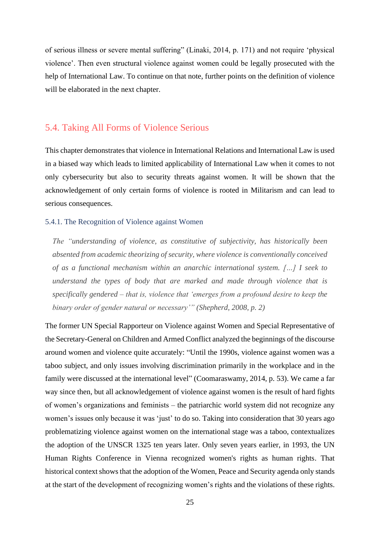of serious illness or severe mental suffering" (Linaki, 2014, p. 171) and not require 'physical violence'. Then even structural violence against women could be legally prosecuted with the help of International Law. To continue on that note, further points on the definition of violence will be elaborated in the next chapter.

### <span id="page-25-0"></span>5.4. Taking All Forms of Violence Serious

This chapter demonstrates that violence in International Relations and International Law is used in a biased way which leads to limited applicability of International Law when it comes to not only cybersecurity but also to security threats against women. It will be shown that the acknowledgement of only certain forms of violence is rooted in Militarism and can lead to serious consequences.

#### <span id="page-25-1"></span>5.4.1. The Recognition of Violence against Women

*The "understanding of violence, as constitutive of subjectivity, has historically been absented from academic theorizing of security, where violence is conventionally conceived of as a functional mechanism within an anarchic international system. […] I seek to understand the types of body that are marked and made through violence that is specifically gendered – that is, violence that 'emerges from a profound desire to keep the binary order of gender natural or necessary'" (Shepherd, 2008, p. 2)*

The former UN Special Rapporteur on Violence against Women and Special Representative of the Secretary-General on Children and Armed Conflict analyzed the beginnings of the discourse around women and violence quite accurately: "Until the 1990s, violence against women was a taboo subject, and only issues involving discrimination primarily in the workplace and in the family were discussed at the international level" (Coomaraswamy, 2014, p. 53). We came a far way since then, but all acknowledgement of violence against women is the result of hard fights of women's organizations and feminists – the patriarchic world system did not recognize any women's issues only because it was 'just' to do so. Taking into consideration that 30 years ago problematizing violence against women on the international stage was a taboo, contextualizes the adoption of the UNSCR 1325 ten years later. Only seven years earlier, in 1993, the UN Human Rights Conference in Vienna recognized women's rights as human rights. That historical context shows that the adoption of the Women, Peace and Security agenda only stands at the start of the development of recognizing women's rights and the violations of these rights.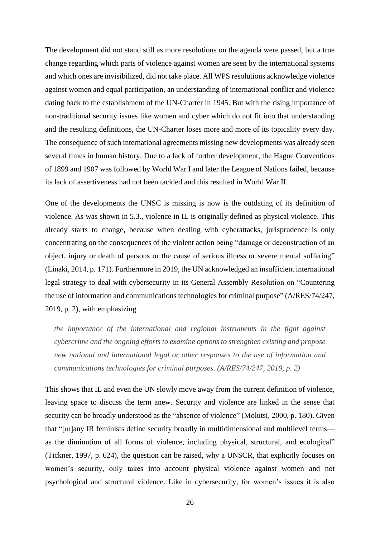The development did not stand still as more resolutions on the agenda were passed, but a true change regarding which parts of violence against women are seen by the international systems and which ones are invisibilized, did not take place. All WPS resolutions acknowledge violence against women and equal participation, an understanding of international conflict and violence dating back to the establishment of the UN-Charter in 1945. But with the rising importance of non-traditional security issues like women and cyber which do not fit into that understanding and the resulting definitions, the UN-Charter loses more and more of its topicality every day. The consequence of such international agreements missing new developments was already seen several times in human history. Due to a lack of further development, the Hague Conventions of 1899 and 1907 was followed by World War I and later the League of Nations failed, because its lack of assertiveness had not been tackled and this resulted in World War II.

One of the developments the UNSC is missing is now is the outdating of its definition of violence. As was shown in 5.3., violence in IL is originally defined as physical violence. This already starts to change, because when dealing with cyberattacks, jurisprudence is only concentrating on the consequences of the violent action being "damage or deconstruction of an object, injury or death of persons or the cause of serious illness or severe mental suffering" (Linaki, 2014, p. 171). Furthermore in 2019, the UN acknowledged an insufficient international legal strategy to deal with cybersecurity in its General Assembly Resolution on "Countering the use of information and communications technologies for criminal purpose" (A/RES/74/247, 2019, p. 2), with emphasizing

*the importance of the international and regional instruments in the fight against cybercrime and the ongoing efforts to examine options to strengthen existing and propose new national and international legal or other responses to the use of information and communications technologies for criminal purposes. (A/RES/74/247, 2019, p. 2)*

This shows that IL and even the UN slowly move away from the current definition of violence, leaving space to discuss the term anew. Security and violence are linked in the sense that security can be broadly understood as the "absence of violence" (Molutsi, 2000, p. 180). Given that "[m]any IR feminists define security broadly in multidimensional and multilevel terms as the diminution of all forms of violence, including physical, structural, and ecological" (Tickner, 1997, p. 624), the question can be raised, why a UNSCR, that explicitly focuses on women's security, only takes into account physical violence against women and not psychological and structural violence. Like in cybersecurity, for women's issues it is also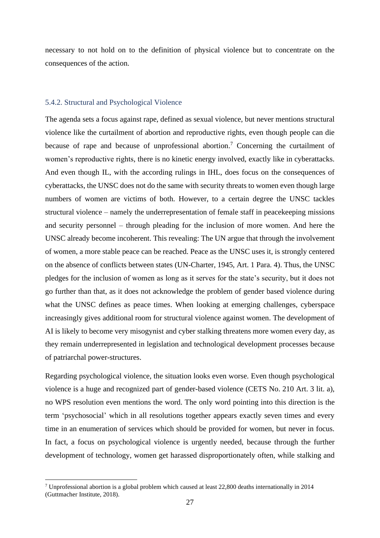necessary to not hold on to the definition of physical violence but to concentrate on the consequences of the action.

#### <span id="page-27-0"></span>5.4.2. Structural and Psychological Violence

The agenda sets a focus against rape, defined as sexual violence, but never mentions structural violence like the curtailment of abortion and reproductive rights, even though people can die because of rape and because of unprofessional abortion.<sup>7</sup> Concerning the curtailment of women's reproductive rights, there is no kinetic energy involved, exactly like in cyberattacks. And even though IL, with the according rulings in IHL, does focus on the consequences of cyberattacks, the UNSC does not do the same with security threats to women even though large numbers of women are victims of both. However, to a certain degree the UNSC tackles structural violence – namely the underrepresentation of female staff in peacekeeping missions and security personnel – through pleading for the inclusion of more women. And here the UNSC already become incoherent. This revealing: The UN argue that through the involvement of women, a more stable peace can be reached. Peace as the UNSC uses it, is strongly centered on the absence of conflicts between states (UN-Charter, 1945, Art. 1 Para. 4). Thus, the UNSC pledges for the inclusion of women as long as it serves for the state's security, but it does not go further than that, as it does not acknowledge the problem of gender based violence during what the UNSC defines as peace times. When looking at emerging challenges, cyberspace increasingly gives additional room for structural violence against women. The development of AI is likely to become very misogynist and cyber stalking threatens more women every day, as they remain underrepresented in legislation and technological development processes because of patriarchal power-structures.

Regarding psychological violence, the situation looks even worse. Even though psychological violence is a huge and recognized part of gender-based violence (CETS No. 210 Art. 3 lit. a), no WPS resolution even mentions the word. The only word pointing into this direction is the term 'psychosocial' which in all resolutions together appears exactly seven times and every time in an enumeration of services which should be provided for women, but never in focus. In fact, a focus on psychological violence is urgently needed, because through the further development of technology, women get harassed disproportionately often, while stalking and

 $7$  Unprofessional abortion is a global problem which caused at least 22,800 deaths internationally in 2014 (Guttmacher Institute, 2018).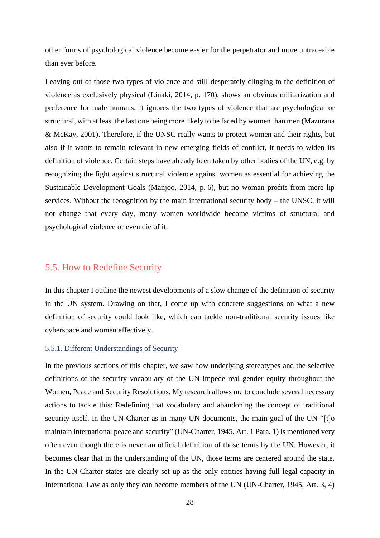other forms of psychological violence become easier for the perpetrator and more untraceable than ever before.

Leaving out of those two types of violence and still desperately clinging to the definition of violence as exclusively physical (Linaki, 2014, p. 170), shows an obvious militarization and preference for male humans. It ignores the two types of violence that are psychological or structural, with at least the last one being more likely to be faced by women than men (Mazurana & McKay, 2001). Therefore, if the UNSC really wants to protect women and their rights, but also if it wants to remain relevant in new emerging fields of conflict, it needs to widen its definition of violence. Certain steps have already been taken by other bodies of the UN, e.g. by recognizing the fight against structural violence against women as essential for achieving the Sustainable Development Goals (Manjoo, 2014, p. 6), but no woman profits from mere lip services. Without the recognition by the main international security body – the UNSC, it will not change that every day, many women worldwide become victims of structural and psychological violence or even die of it.

### <span id="page-28-0"></span>5.5. How to Redefine Security

In this chapter I outline the newest developments of a slow change of the definition of security in the UN system. Drawing on that, I come up with concrete suggestions on what a new definition of security could look like, which can tackle non-traditional security issues like cyberspace and women effectively.

#### <span id="page-28-1"></span>5.5.1. Different Understandings of Security

In the previous sections of this chapter, we saw how underlying stereotypes and the selective definitions of the security vocabulary of the UN impede real gender equity throughout the Women, Peace and Security Resolutions. My research allows me to conclude several necessary actions to tackle this: Redefining that vocabulary and abandoning the concept of traditional security itself. In the UN-Charter as in many UN documents, the main goal of the UN "[t]o maintain international peace and security" (UN-Charter, 1945, Art. 1 Para. 1) is mentioned very often even though there is never an official definition of those terms by the UN. However, it becomes clear that in the understanding of the UN, those terms are centered around the state. In the UN-Charter states are clearly set up as the only entities having full legal capacity in International Law as only they can become members of the UN (UN-Charter, 1945, Art. 3, 4)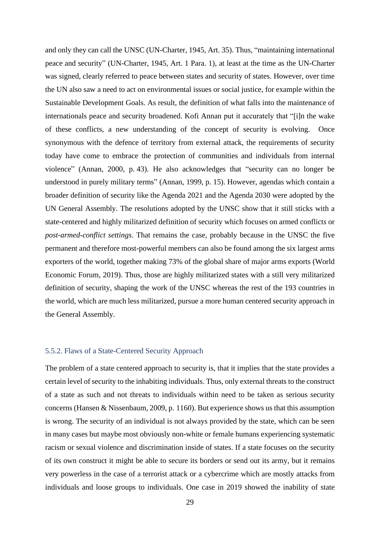and only they can call the UNSC (UN-Charter, 1945, Art. 35). Thus, "maintaining international peace and security" (UN-Charter, 1945, Art. 1 Para. 1), at least at the time as the UN-Charter was signed, clearly referred to peace between states and security of states. However, over time the UN also saw a need to act on environmental issues or social justice, for example within the Sustainable Development Goals. As result, the definition of what falls into the maintenance of internationals peace and security broadened. Kofi Annan put it accurately that "[i]n the wake of these conflicts, a new understanding of the concept of security is evolving. Once synonymous with the defence of territory from external attack, the requirements of security today have come to embrace the protection of communities and individuals from internal violence" (Annan, 2000, p. 43). He also acknowledges that "security can no longer be understood in purely military terms" (Annan, 1999, p. 15). However, agendas which contain a broader definition of security like the Agenda 2021 and the Agenda 2030 were adopted by the UN General Assembly. The resolutions adopted by the UNSC show that it still sticks with a state-centered and highly militarized definition of security which focuses on armed conflict*s* or *post-armed-conflict settings*. That remains the case, probably because in the UNSC the five permanent and therefore most-powerful members can also be found among the six largest arms exporters of the world, together making 73% of the global share of major arms exports (World Economic Forum, 2019). Thus, those are highly militarized states with a still very militarized definition of security, shaping the work of the UNSC whereas the rest of the 193 countries in the world, which are much less militarized, pursue a more human centered security approach in the General Assembly.

#### <span id="page-29-0"></span>5.5.2. Flaws of a State-Centered Security Approach

The problem of a state centered approach to security is, that it implies that the state provides a certain level of security to the inhabiting individuals. Thus, only external threats to the construct of a state as such and not threats to individuals within need to be taken as serious security concerns (Hansen & Nissenbaum, 2009, p. 1160). But experience shows us that this assumption is wrong. The security of an individual is not always provided by the state, which can be seen in many cases but maybe most obviously non-white or female humans experiencing systematic racism or sexual violence and discrimination inside of states. If a state focuses on the security of its own construct it might be able to secure its borders or send out its army, but it remains very powerless in the case of a terrorist attack or a cybercrime which are mostly attacks from individuals and loose groups to individuals. One case in 2019 showed the inability of state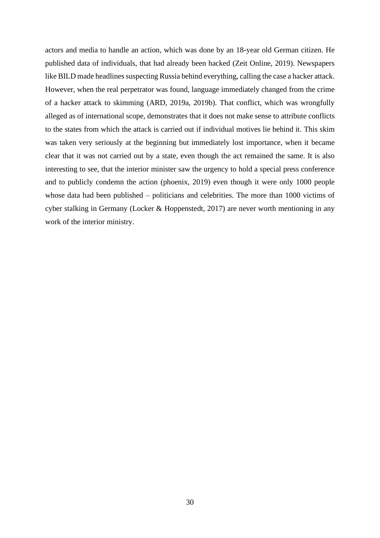actors and media to handle an action, which was done by an 18-year old German citizen. He published data of individuals, that had already been hacked (Zeit Online, 2019). Newspapers like BILD made headlines suspecting Russia behind everything, calling the case a hacker attack. However, when the real perpetrator was found, language immediately changed from the crime of a hacker attack to skimming (ARD, 2019a, 2019b). That conflict, which was wrongfully alleged as of international scope, demonstrates that it does not make sense to attribute conflicts to the states from which the attack is carried out if individual motives lie behind it. This skim was taken very seriously at the beginning but immediately lost importance, when it became clear that it was not carried out by a state, even though the act remained the same. It is also interesting to see, that the interior minister saw the urgency to hold a special press conference and to publicly condemn the action (phoenix, 2019) even though it were only 1000 people whose data had been published – politicians and celebrities. The more than 1000 victims of cyber stalking in Germany (Locker & Hoppenstedt, 2017) are never worth mentioning in any work of the interior ministry.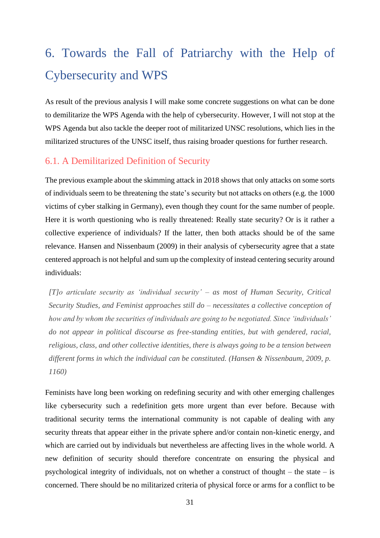# <span id="page-31-0"></span>6. Towards the Fall of Patriarchy with the Help of Cybersecurity and WPS

As result of the previous analysis I will make some concrete suggestions on what can be done to demilitarize the WPS Agenda with the help of cybersecurity. However, I will not stop at the WPS Agenda but also tackle the deeper root of militarized UNSC resolutions, which lies in the militarized structures of the UNSC itself, thus raising broader questions for further research.

## <span id="page-31-1"></span>6.1. A Demilitarized Definition of Security

The previous example about the skimming attack in 2018 shows that only attacks on some sorts of individuals seem to be threatening the state's security but not attacks on others (e.g. the 1000 victims of cyber stalking in Germany), even though they count for the same number of people. Here it is worth questioning who is really threatened: Really state security? Or is it rather a collective experience of individuals? If the latter, then both attacks should be of the same relevance. Hansen and Nissenbaum (2009) in their analysis of cybersecurity agree that a state centered approach is not helpful and sum up the complexity of instead centering security around individuals:

*[T]o articulate security as 'individual security' – as most of Human Security, Critical Security Studies, and Feminist approaches still do – necessitates a collective conception of how and by whom the securities of individuals are going to be negotiated. Since 'individuals' do not appear in political discourse as free-standing entities, but with gendered, racial, religious, class, and other collective identities, there is always going to be a tension between different forms in which the individual can be constituted. (Hansen & Nissenbaum, 2009, p. 1160)*

Feminists have long been working on redefining security and with other emerging challenges like cybersecurity such a redefinition gets more urgent than ever before. Because with traditional security terms the international community is not capable of dealing with any security threats that appear either in the private sphere and/or contain non-kinetic energy, and which are carried out by individuals but nevertheless are affecting lives in the whole world. A new definition of security should therefore concentrate on ensuring the physical and psychological integrity of individuals, not on whether a construct of thought – the state – is concerned. There should be no militarized criteria of physical force or arms for a conflict to be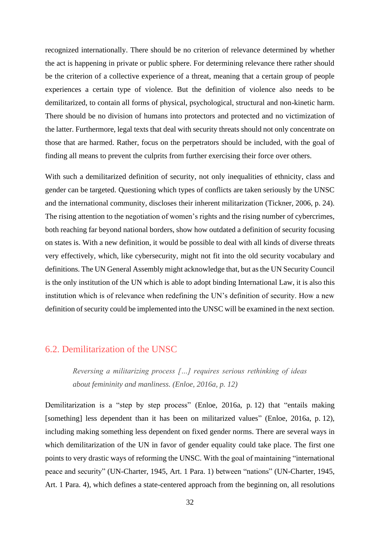recognized internationally. There should be no criterion of relevance determined by whether the act is happening in private or public sphere. For determining relevance there rather should be the criterion of a collective experience of a threat, meaning that a certain group of people experiences a certain type of violence. But the definition of violence also needs to be demilitarized, to contain all forms of physical, psychological, structural and non-kinetic harm. There should be no division of humans into protectors and protected and no victimization of the latter. Furthermore, legal texts that deal with security threats should not only concentrate on those that are harmed. Rather, focus on the perpetrators should be included, with the goal of finding all means to prevent the culprits from further exercising their force over others.

With such a demilitarized definition of security, not only inequalities of ethnicity, class and gender can be targeted. Questioning which types of conflicts are taken seriously by the UNSC and the international community, discloses their inherent militarization (Tickner, 2006, p. 24). The rising attention to the negotiation of women's rights and the rising number of cybercrimes, both reaching far beyond national borders, show how outdated a definition of security focusing on states is. With a new definition, it would be possible to deal with all kinds of diverse threats very effectively, which, like cybersecurity, might not fit into the old security vocabulary and definitions. The UN General Assembly might acknowledge that, but as the UN Security Council is the only institution of the UN which is able to adopt binding International Law, it is also this institution which is of relevance when redefining the UN's definition of security. How a new definition of security could be implemented into the UNSC will be examined in the next section.

### <span id="page-32-0"></span>6.2. Demilitarization of the UNSC

*Reversing a militarizing process […] requires serious rethinking of ideas about femininity and manliness. (Enloe, 2016a, p. 12)*

Demilitarization is a "step by step process" (Enloe, 2016a, p. 12) that "entails making [something] less dependent than it has been on militarized values" (Enloe, 2016a, p. 12), including making something less dependent on fixed gender norms. There are several ways in which demilitarization of the UN in favor of gender equality could take place. The first one points to very drastic ways of reforming the UNSC. With the goal of maintaining "international peace and security" (UN-Charter, 1945, Art. 1 Para. 1) between "nations" (UN-Charter, 1945, Art. 1 Para. 4), which defines a state-centered approach from the beginning on, all resolutions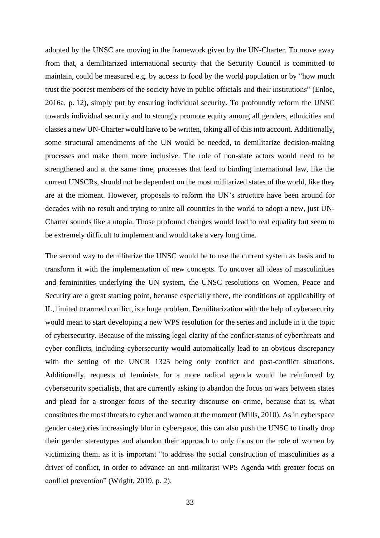adopted by the UNSC are moving in the framework given by the UN-Charter. To move away from that, a demilitarized international security that the Security Council is committed to maintain, could be measured e.g. by access to food by the world population or by "how much trust the poorest members of the society have in public officials and their institutions" (Enloe, 2016a, p. 12), simply put by ensuring individual security. To profoundly reform the UNSC towards individual security and to strongly promote equity among all genders, ethnicities and classes a new UN-Charter would have to be written, taking all of this into account. Additionally, some structural amendments of the UN would be needed, to demilitarize decision-making processes and make them more inclusive. The role of non-state actors would need to be strengthened and at the same time, processes that lead to binding international law, like the current UNSCRs, should not be dependent on the most militarized states of the world, like they are at the moment. However, proposals to reform the UN's structure have been around for decades with no result and trying to unite all countries in the world to adopt a new, just UN-Charter sounds like a utopia. Those profound changes would lead to real equality but seem to be extremely difficult to implement and would take a very long time.

The second way to demilitarize the UNSC would be to use the current system as basis and to transform it with the implementation of new concepts. To uncover all ideas of masculinities and femininities underlying the UN system, the UNSC resolutions on Women, Peace and Security are a great starting point, because especially there, the conditions of applicability of IL, limited to armed conflict, is a huge problem. Demilitarization with the help of cybersecurity would mean to start developing a new WPS resolution for the series and include in it the topic of cybersecurity. Because of the missing legal clarity of the conflict-status of cyberthreats and cyber conflicts, including cybersecurity would automatically lead to an obvious discrepancy with the setting of the UNCR 1325 being only conflict and post-conflict situations. Additionally, requests of feminists for a more radical agenda would be reinforced by cybersecurity specialists, that are currently asking to abandon the focus on wars between states and plead for a stronger focus of the security discourse on crime, because that is, what constitutes the most threats to cyber and women at the moment (Mills, 2010). As in cyberspace gender categories increasingly blur in cyberspace, this can also push the UNSC to finally drop their gender stereotypes and abandon their approach to only focus on the role of women by victimizing them, as it is important "to address the social construction of masculinities as a driver of conflict, in order to advance an anti-militarist WPS Agenda with greater focus on conflict prevention" (Wright, 2019, p. 2).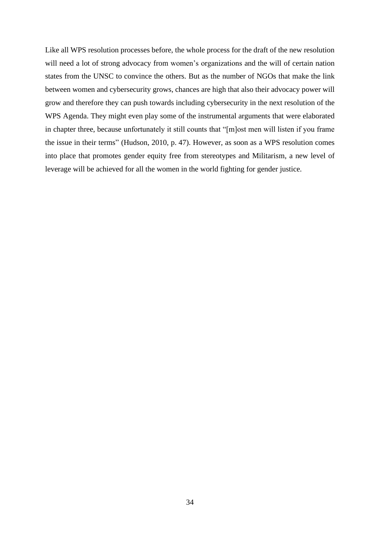Like all WPS resolution processes before, the whole process for the draft of the new resolution will need a lot of strong advocacy from women's organizations and the will of certain nation states from the UNSC to convince the others. But as the number of NGOs that make the link between women and cybersecurity grows, chances are high that also their advocacy power will grow and therefore they can push towards including cybersecurity in the next resolution of the WPS Agenda. They might even play some of the instrumental arguments that were elaborated in chapter three, because unfortunately it still counts that "[m]ost men will listen if you frame the issue in their terms" (Hudson, 2010, p. 47). However, as soon as a WPS resolution comes into place that promotes gender equity free from stereotypes and Militarism, a new level of leverage will be achieved for all the women in the world fighting for gender justice.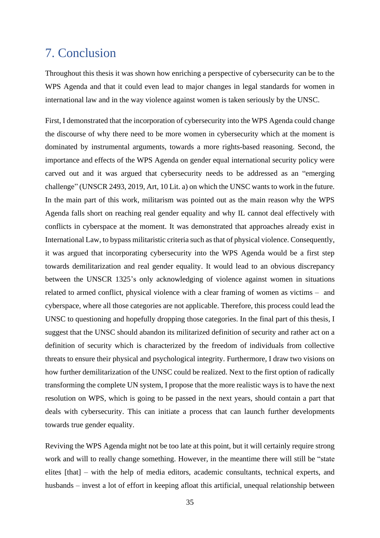# <span id="page-35-0"></span>7. Conclusion

Throughout this thesis it was shown how enriching a perspective of cybersecurity can be to the WPS Agenda and that it could even lead to major changes in legal standards for women in international law and in the way violence against women is taken seriously by the UNSC.

First, I demonstrated that the incorporation of cybersecurity into the WPS Agenda could change the discourse of why there need to be more women in cybersecurity which at the moment is dominated by instrumental arguments, towards a more rights-based reasoning. Second, the importance and effects of the WPS Agenda on gender equal international security policy were carved out and it was argued that cybersecurity needs to be addressed as an "emerging challenge" (UNSCR 2493, 2019, Art, 10 Lit. a) on which the UNSC wants to work in the future. In the main part of this work, militarism was pointed out as the main reason why the WPS Agenda falls short on reaching real gender equality and why IL cannot deal effectively with conflicts in cyberspace at the moment. It was demonstrated that approaches already exist in International Law, to bypass militaristic criteria such as that of physical violence. Consequently, it was argued that incorporating cybersecurity into the WPS Agenda would be a first step towards demilitarization and real gender equality. It would lead to an obvious discrepancy between the UNSCR 1325's only acknowledging of violence against women in situations related to armed conflict, physical violence with a clear framing of women as victims – and cyberspace, where all those categories are not applicable. Therefore, this process could lead the UNSC to questioning and hopefully dropping those categories. In the final part of this thesis, I suggest that the UNSC should abandon its militarized definition of security and rather act on a definition of security which is characterized by the freedom of individuals from collective threats to ensure their physical and psychological integrity. Furthermore, I draw two visions on how further demilitarization of the UNSC could be realized. Next to the first option of radically transforming the complete UN system, I propose that the more realistic ways is to have the next resolution on WPS, which is going to be passed in the next years, should contain a part that deals with cybersecurity. This can initiate a process that can launch further developments towards true gender equality.

Reviving the WPS Agenda might not be too late at this point, but it will certainly require strong work and will to really change something. However, in the meantime there will still be "state elites [that] – with the help of media editors, academic consultants, technical experts, and husbands – invest a lot of effort in keeping afloat this artificial, unequal relationship between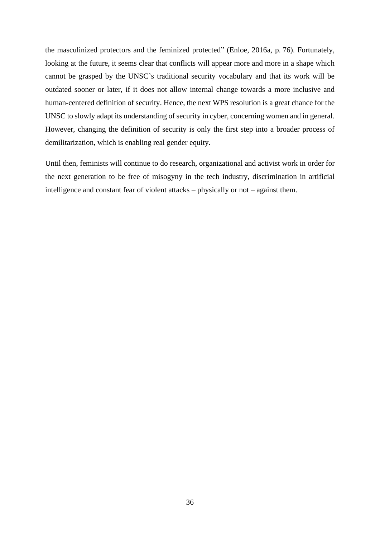the masculinized protectors and the feminized protected" (Enloe, 2016a, p. 76). Fortunately, looking at the future, it seems clear that conflicts will appear more and more in a shape which cannot be grasped by the UNSC's traditional security vocabulary and that its work will be outdated sooner or later, if it does not allow internal change towards a more inclusive and human-centered definition of security. Hence, the next WPS resolution is a great chance for the UNSC to slowly adapt its understanding of security in cyber, concerning women and in general. However, changing the definition of security is only the first step into a broader process of demilitarization, which is enabling real gender equity.

Until then, feminists will continue to do research, organizational and activist work in order for the next generation to be free of misogyny in the tech industry, discrimination in artificial intelligence and constant fear of violent attacks – physically or not – against them.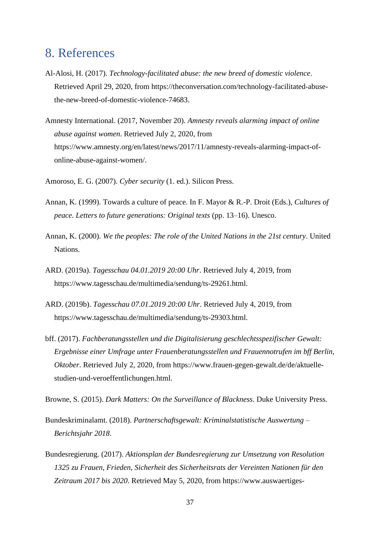# <span id="page-37-0"></span>8. References

- Al-Alosi, H. (2017). *Technology-facilitated abuse: the new breed of domestic violence*. Retrieved April 29, 2020, from https://theconversation.com/technology-facilitated-abusethe-new-breed-of-domestic-violence-74683.
- Amnesty International. (2017, November 20). *Amnesty reveals alarming impact of online abuse against women*. Retrieved July 2, 2020, from https://www.amnesty.org/en/latest/news/2017/11/amnesty-reveals-alarming-impact-ofonline-abuse-against-women/.
- Amoroso, E. G. (2007). *Cyber security* (1. ed.). Silicon Press.
- Annan, K. (1999). Towards a culture of peace. In F. Mayor & R.-P. Droit (Eds.), *Cultures of peace. Letters to future generations: Original texts* (pp. 13–16). Unesco.
- Annan, K. (2000). *We the peoples: The role of the United Nations in the 21st century*. United Nations.
- ARD. (2019a). *Tagesschau 04.01.2019 20:00 Uhr*. Retrieved July 4, 2019, from https://www.tagesschau.de/multimedia/sendung/ts-29261.html.
- ARD. (2019b). *Tagesschau 07.01.2019 20:00 Uhr*. Retrieved July 4, 2019, from https://www.tagesschau.de/multimedia/sendung/ts-29303.html.
- bff. (2017). *Fachberatungsstellen und die Digitalisierung geschlechtsspezifischer Gewalt: Ergebnisse einer Umfrage unter Frauenberatungsstellen und Frauennotrufen im bff Berlin, Oktober*. Retrieved July 2, 2020, from https://www.frauen-gegen-gewalt.de/de/aktuellestudien-und-veroeffentlichungen.html.

Browne, S. (2015). *Dark Matters: On the Surveillance of Blackness*. Duke University Press.

- Bundeskriminalamt. (2018). *Partnerschaftsgewalt: Kriminalstatistische Auswertung – Berichtsjahr 2018*.
- Bundesregierung. (2017). *Aktionsplan der Bundesregierung zur Umsetzung von Resolution 1325 zu Frauen, Frieden, Sicherheit des Sicherheitsrats der Vereinten Nationen für den Zeitraum 2017 bis 2020*. Retrieved May 5, 2020, from https://www.auswaertiges-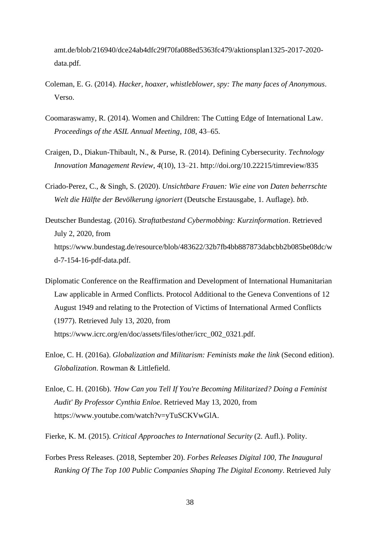amt.de/blob/216940/dce24ab4dfc29f70fa088ed5363fc479/aktionsplan1325-2017-2020 data.pdf.

- Coleman, E. G. (2014). *Hacker, hoaxer, whistleblower, spy: The many faces of Anonymous*. Verso.
- Coomaraswamy, R. (2014). Women and Children: The Cutting Edge of International Law. *Proceedings of the ASIL Annual Meeting*, *108*, 43–65.
- Craigen, D., Diakun-Thibault, N., & Purse, R. (2014). Defining Cybersecurity. *Technology Innovation Management Review*, *4*(10), 13–21. http://doi.org/10.22215/timreview/835
- Criado-Perez, C., & Singh, S. (2020). *Unsichtbare Frauen: Wie eine von Daten beherrschte Welt die Hälfte der Bevölkerung ignoriert* (Deutsche Erstausgabe, 1. Auflage). *btb*.
- Deutscher Bundestag. (2016). *Straftatbestand Cybermobbing: Kurzinformation*. Retrieved July 2, 2020, from https://www.bundestag.de/resource/blob/483622/32b7fb4bb887873dabcbb2b085be08dc/w d-7-154-16-pdf-data.pdf.
- Diplomatic Conference on the Reaffirmation and Development of International Humanitarian Law applicable in Armed Conflicts. Protocol Additional to the Geneva Conventions of 12 August 1949 and relating to the Protection of Victims of International Armed Conflicts (1977). Retrieved July 13, 2020, from https://www.icrc.org/en/doc/assets/files/other/icrc\_002\_0321.pdf.
- Enloe, C. H. (2016a). *Globalization and Militarism: Feminists make the link* (Second edition). *Globalization*. Rowman & Littlefield.
- Enloe, C. H. (2016b). *'How Can you Tell If You're Becoming Militarized? Doing a Feminist Audit' By Professor Cynthia Enloe*. Retrieved May 13, 2020, from https://www.youtube.com/watch?v=yTuSCKVwGlA.

Fierke, K. M. (2015). *Critical Approaches to International Security* (2. Aufl.). Polity.

Forbes Press Releases. (2018, September 20). *Forbes Releases Digital 100, The Inaugural Ranking Of The Top 100 Public Companies Shaping The Digital Economy*. Retrieved July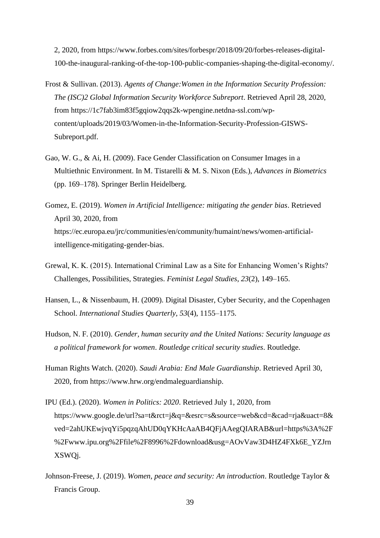2, 2020, from https://www.forbes.com/sites/forbespr/2018/09/20/forbes-releases-digital-100-the-inaugural-ranking-of-the-top-100-public-companies-shaping-the-digital-economy/.

- Frost & Sullivan. (2013). *Agents of Change:Women in the Information Security Profession: The (ISC)2 Global Information Security Workforce Subreport*. Retrieved April 28, 2020, from https://1c7fab3im83f5gqiow2qqs2k-wpengine.netdna-ssl.com/wpcontent/uploads/2019/03/Women-in-the-Information-Security-Profession-GISWS-Subreport.pdf.
- Gao, W. G., & Ai, H. (2009). Face Gender Classification on Consumer Images in a Multiethnic Environment. In M. Tistarelli & M. S. Nixon (Eds.), *Advances in Biometrics*  (pp. 169–178). Springer Berlin Heidelberg.
- Gomez, E. (2019). *Women in Artificial Intelligence: mitigating the gender bias*. Retrieved April 30, 2020, from https://ec.europa.eu/jrc/communities/en/community/humaint/news/women-artificialintelligence-mitigating-gender-bias.
- Grewal, K. K. (2015). International Criminal Law as a Site for Enhancing Women's Rights? Challenges, Possibilities, Strategies. *Feminist Legal Studies*, *23*(2), 149–165.
- Hansen, L., & Nissenbaum, H. (2009). Digital Disaster, Cyber Security, and the Copenhagen School. *International Studies Quarterly*, *53*(4), 1155–1175.
- Hudson, N. F. (2010). *Gender, human security and the United Nations: Security language as a political framework for women*. *Routledge critical security studies*. Routledge.
- Human Rights Watch. (2020). *Saudi Arabia: End Male Guardianship*. Retrieved April 30, 2020, from https://www.hrw.org/endmaleguardianship.
- IPU (Ed.). (2020). *Women in Politics: 2020*. Retrieved July 1, 2020, from https://www.google.de/url?sa=t&rct=j&q=&esrc=s&source=web&cd=&cad=rja&uact=8& ved=2ahUKEwjvqYi5pqzqAhUD0qYKHcAaAB4QFjAAegQIARAB&url=https%3A%2F %2Fwww.ipu.org%2Ffile%2F8996%2Fdownload&usg=AOvVaw3D4HZ4FXk6E\_YZJrn XSWQj.
- Johnson-Freese, J. (2019). *Women, peace and security: An introduction*. Routledge Taylor & Francis Group.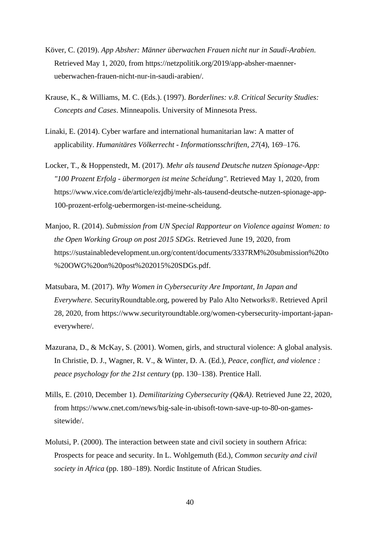- Köver, C. (2019). *App Absher: Männer überwachen Frauen nicht nur in Saudi-Arabien*. Retrieved May 1, 2020, from https://netzpolitik.org/2019/app-absher-maennerueberwachen-frauen-nicht-nur-in-saudi-arabien/.
- Krause, K., & Williams, M. C. (Eds.). (1997). *Borderlines: v.8*. *Critical Security Studies: Concepts and Cases*. Minneapolis. University of Minnesota Press.
- Linaki, E. (2014). Cyber warfare and international humanitarian law: A matter of applicability. *Humanitäres Völkerrecht - Informationsschriften*, *27*(4), 169–176.
- Locker, T., & Hoppenstedt, M. (2017). *Mehr als tausend Deutsche nutzen Spionage-App: "100 Prozent Erfolg - übermorgen ist meine Scheidung"*. Retrieved May 1, 2020, from https://www.vice.com/de/article/ezjdbj/mehr-als-tausend-deutsche-nutzen-spionage-app-100-prozent-erfolg-uebermorgen-ist-meine-scheidung.
- Manjoo, R. (2014). *Submission from UN Special Rapporteur on Violence against Women: to the Open Working Group on post 2015 SDGs*. Retrieved June 19, 2020, from https://sustainabledevelopment.un.org/content/documents/3337RM%20submission%20to %20OWG%20on%20post%202015%20SDGs.pdf.
- Matsubara, M. (2017). *Why Women in Cybersecurity Are Important, In Japan and Everywhere.* SecurityRoundtable.org, powered by Palo Alto Networks®. Retrieved April 28, 2020, from https://www.securityroundtable.org/women-cybersecurity-important-japaneverywhere/.
- Mazurana, D., & McKay, S. (2001). Women, girls, and structural violence: A global analysis. In Christie, D. J., Wagner, R. V., & Winter, D. A. (Ed.), *Peace, conflict, and violence : peace psychology for the 21st century* (pp. 130–138). Prentice Hall.
- Mills, E. (2010, December 1). *Demilitarizing Cybersecurity (Q&A)*. Retrieved June 22, 2020, from https://www.cnet.com/news/big-sale-in-ubisoft-town-save-up-to-80-on-gamessitewide/.
- Molutsi, P. (2000). The interaction between state and civil society in southern Africa: Prospects for peace and security. In L. Wohlgemuth (Ed.), *Common security and civil society in Africa* (pp. 180–189). Nordic Institute of African Studies.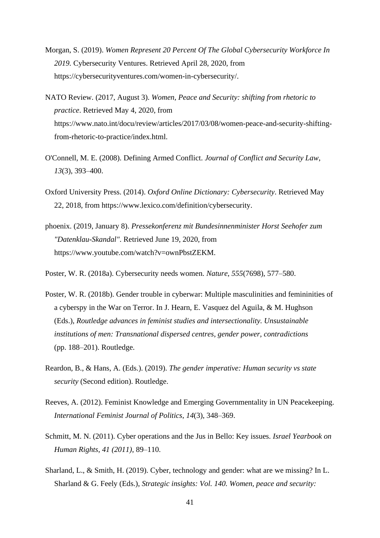- Morgan, S. (2019). *Women Represent 20 Percent Of The Global Cybersecurity Workforce In 2019.* Cybersecurity Ventures. Retrieved April 28, 2020, from https://cybersecurityventures.com/women-in-cybersecurity/.
- NATO Review. (2017, August 3). *Women, Peace and Security: shifting from rhetoric to practice*. Retrieved May 4, 2020, from https://www.nato.int/docu/review/articles/2017/03/08/women-peace-and-security-shiftingfrom-rhetoric-to-practice/index.html.
- O'Connell, M. E. (2008). Defining Armed Conflict. *Journal of Conflict and Security Law*, *13*(3), 393–400.
- Oxford University Press. (2014). *Oxford Online Dictionary: Cybersecurity*. Retrieved May 22, 2018, from https://www.lexico.com/definition/cybersecurity.
- phoenix. (2019, January 8). *Pressekonferenz mit Bundesinnenminister Horst Seehofer zum "Datenklau-Skandal"*. Retrieved June 19, 2020, from https://www.youtube.com/watch?v=ownPbstZEKM.
- Poster, W. R. (2018a). Cybersecurity needs women. *Nature*, *555*(7698), 577–580.
- Poster, W. R. (2018b). Gender trouble in cyberwar: Multiple masculinities and femininities of a cyberspy in the War on Terror. In J. Hearn, E. Vasquez del Aguila, & M. Hughson (Eds.), *Routledge advances in feminist studies and intersectionality. Unsustainable institutions of men: Transnational dispersed centres, gender power, contradictions*  (pp. 188–201). Routledge.
- Reardon, B., & Hans, A. (Eds.). (2019). *The gender imperative: Human security vs state security* (Second edition). Routledge.
- Reeves, A. (2012). Feminist Knowledge and Emerging Governmentality in UN Peacekeeping. *International Feminist Journal of Politics*, *14*(3), 348–369.
- Schmitt, M. N. (2011). Cyber operations and the Jus in Bello: Key issues. *Israel Yearbook on Human Rights*, *41 (2011)*, 89–110.
- Sharland, L., & Smith, H. (2019). Cyber, technology and gender: what are we missing? In L. Sharland & G. Feely (Eds.), *Strategic insights: Vol. 140. Women, peace and security:*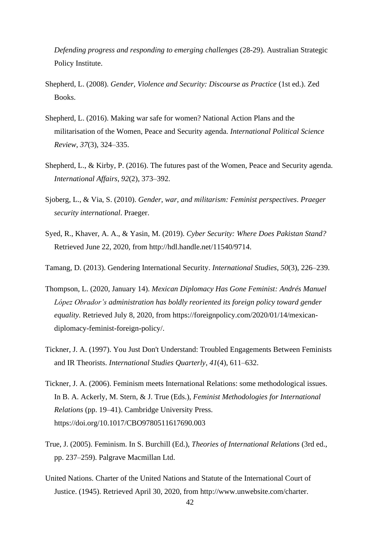*Defending progress and responding to emerging challenges* (28-29). Australian Strategic Policy Institute.

- Shepherd, L. (2008). *Gender, Violence and Security: Discourse as Practice* (1st ed.). Zed Books.
- Shepherd, L. (2016). Making war safe for women? National Action Plans and the militarisation of the Women, Peace and Security agenda. *International Political Science Review*, *37*(3), 324–335.
- Shepherd, L., & Kirby, P. (2016). The futures past of the Women, Peace and Security agenda. *International Affairs*, *92*(2), 373–392.
- Sjoberg, L., & Via, S. (2010). *Gender, war, and militarism: Feminist perspectives*. *Praeger security international*. Praeger.
- Syed, R., Khaver, A. A., & Yasin, M. (2019). *Cyber Security: Where Does Pakistan Stand?* Retrieved June 22, 2020, from http://hdl.handle.net/11540/9714.
- Tamang, D. (2013). Gendering International Security. *International Studies*, *50*(3), 226–239.
- Thompson, L. (2020, January 14). *Mexican Diplomacy Has Gone Feminist: Andrés Manuel López Obrador's administration has boldly reoriented its foreign policy toward gender equality.* Retrieved July 8, 2020, from https://foreignpolicy.com/2020/01/14/mexicandiplomacy-feminist-foreign-policy/.
- Tickner, J. A. (1997). You Just Don't Understand: Troubled Engagements Between Feminists and IR Theorists. *International Studies Quarterly*, *41*(4), 611–632.
- Tickner, J. A. (2006). Feminism meets International Relations: some methodological issues. In B. A. Ackerly, M. Stern, & J. True (Eds.), *Feminist Methodologies for International Relations* (pp. 19–41). Cambridge University Press. https://doi.org/10.1017/CBO9780511617690.003
- True, J. (2005). Feminism. In S. Burchill (Ed.), *Theories of International Relations* (3rd ed., pp. 237–259). Palgrave Macmillan Ltd.
- United Nations. Charter of the United Nations and Statute of the International Court of Justice. (1945). Retrieved April 30, 2020, from http://www.unwebsite.com/charter.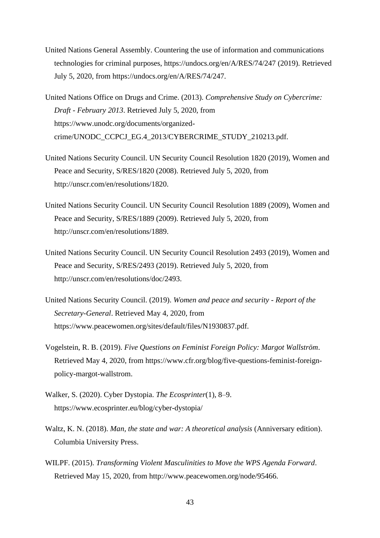- United Nations General Assembly. Countering the use of information and communications technologies for criminal purposes, https://undocs.org/en/A/RES/74/247 (2019). Retrieved July 5, 2020, from https://undocs.org/en/A/RES/74/247.
- United Nations Office on Drugs and Crime. (2013). *Comprehensive Study on Cybercrime: Draft - February 2013*. Retrieved July 5, 2020, from https://www.unodc.org/documents/organizedcrime/UNODC\_CCPCJ\_EG.4\_2013/CYBERCRIME\_STUDY\_210213.pdf.
- United Nations Security Council. UN Security Council Resolution 1820 (2019), Women and Peace and Security, S/RES/1820 (2008). Retrieved July 5, 2020, from http://unscr.com/en/resolutions/1820.
- United Nations Security Council. UN Security Council Resolution 1889 (2009), Women and Peace and Security, S/RES/1889 (2009). Retrieved July 5, 2020, from http://unscr.com/en/resolutions/1889.
- United Nations Security Council. UN Security Council Resolution 2493 (2019), Women and Peace and Security, S/RES/2493 (2019). Retrieved July 5, 2020, from http://unscr.com/en/resolutions/doc/2493.
- United Nations Security Council. (2019). *Women and peace and security - Report of the Secretary-General*. Retrieved May 4, 2020, from https://www.peacewomen.org/sites/default/files/N1930837.pdf.
- Vogelstein, R. B. (2019). *Five Questions on Feminist Foreign Policy: Margot Wallström*. Retrieved May 4, 2020, from https://www.cfr.org/blog/five-questions-feminist-foreignpolicy-margot-wallstrom.
- Walker, S. (2020). Cyber Dystopia. *The Ecosprinter*(1), 8–9. https://www.ecosprinter.eu/blog/cyber-dystopia/
- Waltz, K. N. (2018). *Man, the state and war: A theoretical analysis* (Anniversary edition). Columbia University Press.
- WILPF. (2015). *Transforming Violent Masculinities to Move the WPS Agenda Forward*. Retrieved May 15, 2020, from http://www.peacewomen.org/node/95466.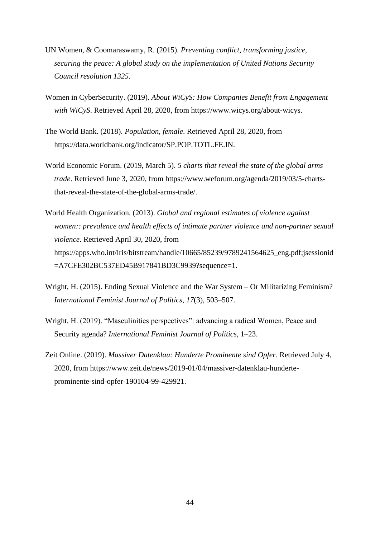- UN Women, & Coomaraswamy, R. (2015). *Preventing conflict, transforming justice, securing the peace: A global study on the implementation of United Nations Security Council resolution 1325*.
- Women in CyberSecurity. (2019). *About WiCyS: How Companies Benefit from Engagement with WiCyS*. Retrieved April 28, 2020, from https://www.wicys.org/about-wicys.
- The World Bank. (2018). *Population, female*. Retrieved April 28, 2020, from https://data.worldbank.org/indicator/SP.POP.TOTL.FE.IN.
- World Economic Forum. (2019, March 5). *5 charts that reveal the state of the global arms trade*. Retrieved June 3, 2020, from https://www.weforum.org/agenda/2019/03/5-chartsthat-reveal-the-state-of-the-global-arms-trade/.
- World Health Organization. (2013). *Global and regional estimates of violence against women:: prevalence and health effects of intimate partner violence and non-partner sexual violence*. Retrieved April 30, 2020, from https://apps.who.int/iris/bitstream/handle/10665/85239/9789241564625\_eng.pdf;jsessionid =A7CFE302BC537ED45B917841BD3C9939?sequence=1.
- Wright, H. (2015). Ending Sexual Violence and the War System Or Militarizing Feminism? *International Feminist Journal of Politics*, *17*(3), 503–507.
- Wright, H. (2019). "Masculinities perspectives": advancing a radical Women, Peace and Security agenda? *International Feminist Journal of Politics*, 1–23.
- Zeit Online. (2019). *Massiver Datenklau: Hunderte Prominente sind Opfer*. Retrieved July 4, 2020, from https://www.zeit.de/news/2019-01/04/massiver-datenklau-hunderteprominente-sind-opfer-190104-99-429921.